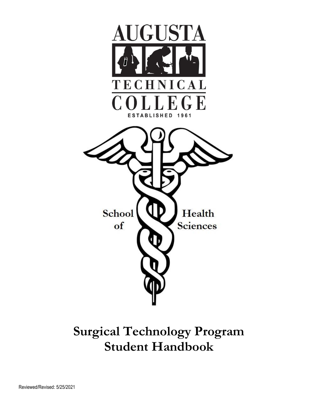

## **Surgical Technology Program Student Handbook**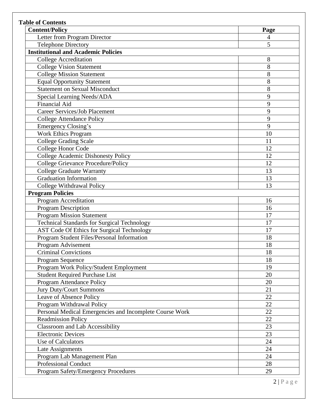| <b>Content/Policy</b>                                   | Page   |  |
|---------------------------------------------------------|--------|--|
| Letter from Program Director                            | 4<br>5 |  |
| <b>Telephone Directory</b>                              |        |  |
| <b>Institutional and Academic Policies</b>              |        |  |
| <b>College Accreditation</b>                            | 8      |  |
| <b>College Vision Statement</b>                         | 8      |  |
| <b>College Mission Statement</b>                        | 8      |  |
| <b>Equal Opportunity Statement</b>                      | 8      |  |
| <b>Statement on Sexual Misconduct</b>                   | 8      |  |
| Special Learning Needs/ADA                              | 9      |  |
| <b>Financial Aid</b>                                    | 9      |  |
| <b>Career Services/Job Placement</b>                    | 9      |  |
| <b>College Attendance Policy</b>                        | 9      |  |
| <b>Emergency Closing's</b>                              | 9      |  |
| <b>Work Ethics Program</b>                              | 10     |  |
| <b>College Grading Scale</b>                            | 11     |  |
| College Honor Code                                      | 12     |  |
| <b>College Academic Dishonesty Policy</b>               | 12     |  |
| College Grievance Procedure/Policy                      | 12     |  |
| <b>College Graduate Warranty</b>                        | 13     |  |
| <b>Graduation Information</b>                           | 13     |  |
| College Withdrawal Policy                               | 13     |  |
| <b>Program Policies</b>                                 |        |  |
| <b>Program Accreditation</b>                            | 16     |  |
| <b>Program Description</b>                              | 16     |  |
| <b>Program Mission Statement</b>                        | 17     |  |
| <b>Technical Standards for Surgical Technology</b>      | 17     |  |
| <b>AST Code Of Ethics for Surgical Technology</b>       | 17     |  |
| Program Student Files/Personal Information              | 18     |  |
| Program Advisement                                      | 18     |  |
| <b>Criminal Convictions</b>                             | 18     |  |
| Program Sequence                                        | 18     |  |
| Program Work Policy/Student Employment                  | 19     |  |
| <b>Student Required Purchase List</b>                   | 20     |  |
| Program Attendance Policy                               | 20     |  |
| <b>Jury Duty/Court Summons</b>                          | 21     |  |
| Leave of Absence Policy                                 | 22     |  |
| Program Withdrawal Policy                               | 22     |  |
| Personal Medical Emergencies and Incomplete Course Work | 22     |  |
| <b>Readmission Policy</b>                               | 22     |  |
| <b>Classroom and Lab Accessibility</b>                  | 23     |  |
| <b>Electronic Devices</b>                               | 23     |  |
| Use of Calculators                                      | 24     |  |
| Late Assignments                                        | 24     |  |
| Program Lab Management Plan                             | 24     |  |
| <b>Professional Conduct</b>                             | 28     |  |
| <b>Program Safety/Emergency Procedures</b>              | 29     |  |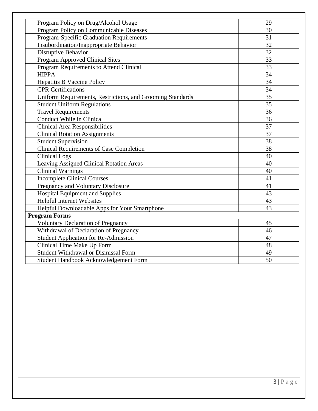| Program Policy on Communicable Diseases<br>30<br>Program-Specific Graduation Requirements<br>31<br>32<br>Insubordination/Inappropriate Behavior<br>Disruptive Behavior<br>32<br>33<br>Program Approved Clinical Sites<br>Program Requirements to Attend Clinical<br>33<br>34<br><b>HIPPA</b><br>34<br><b>Hepatitis B Vaccine Policy</b><br>34<br><b>CPR</b> Certifications<br>Uniform Requirements, Restrictions, and Grooming Standards<br>35<br>35<br><b>Student Uniform Regulations</b><br><b>Travel Requirements</b><br>36<br>Conduct While in Clinical<br>36<br>37<br><b>Clinical Area Responsibilities</b><br><b>Clinical Rotation Assignments</b><br>37<br><b>Student Supervision</b><br>38<br><b>Clinical Requirements of Case Completion</b><br>38<br><b>Clinical Logs</b><br>40<br>Leaving Assigned Clinical Rotation Areas<br>40<br>Clinical Warnings<br>40<br><b>Incomplete Clinical Courses</b><br>41<br>41<br>Pregnancy and Voluntary Disclosure<br><b>Hospital Equipment and Supplies</b><br>43<br><b>Helpful Internet Websites</b><br>43<br>Helpful Downloadable Apps for Your Smartphone<br>43<br><b>Program Forms</b><br><b>Voluntary Declaration of Pregnancy</b><br>45<br>Withdrawal of Declaration of Pregnancy<br>46<br><b>Student Application for Re-Admission</b><br>47<br>Clinical Time Make Up Form<br>48<br><b>Student Withdrawal or Dismissal Form</b><br>49<br>50<br>Student Handbook Acknowledgement Form |                                      |    |
|-----------------------------------------------------------------------------------------------------------------------------------------------------------------------------------------------------------------------------------------------------------------------------------------------------------------------------------------------------------------------------------------------------------------------------------------------------------------------------------------------------------------------------------------------------------------------------------------------------------------------------------------------------------------------------------------------------------------------------------------------------------------------------------------------------------------------------------------------------------------------------------------------------------------------------------------------------------------------------------------------------------------------------------------------------------------------------------------------------------------------------------------------------------------------------------------------------------------------------------------------------------------------------------------------------------------------------------------------------------------------------------------------------------------------------------------|--------------------------------------|----|
|                                                                                                                                                                                                                                                                                                                                                                                                                                                                                                                                                                                                                                                                                                                                                                                                                                                                                                                                                                                                                                                                                                                                                                                                                                                                                                                                                                                                                                         | Program Policy on Drug/Alcohol Usage | 29 |
|                                                                                                                                                                                                                                                                                                                                                                                                                                                                                                                                                                                                                                                                                                                                                                                                                                                                                                                                                                                                                                                                                                                                                                                                                                                                                                                                                                                                                                         |                                      |    |
|                                                                                                                                                                                                                                                                                                                                                                                                                                                                                                                                                                                                                                                                                                                                                                                                                                                                                                                                                                                                                                                                                                                                                                                                                                                                                                                                                                                                                                         |                                      |    |
|                                                                                                                                                                                                                                                                                                                                                                                                                                                                                                                                                                                                                                                                                                                                                                                                                                                                                                                                                                                                                                                                                                                                                                                                                                                                                                                                                                                                                                         |                                      |    |
|                                                                                                                                                                                                                                                                                                                                                                                                                                                                                                                                                                                                                                                                                                                                                                                                                                                                                                                                                                                                                                                                                                                                                                                                                                                                                                                                                                                                                                         |                                      |    |
|                                                                                                                                                                                                                                                                                                                                                                                                                                                                                                                                                                                                                                                                                                                                                                                                                                                                                                                                                                                                                                                                                                                                                                                                                                                                                                                                                                                                                                         |                                      |    |
|                                                                                                                                                                                                                                                                                                                                                                                                                                                                                                                                                                                                                                                                                                                                                                                                                                                                                                                                                                                                                                                                                                                                                                                                                                                                                                                                                                                                                                         |                                      |    |
|                                                                                                                                                                                                                                                                                                                                                                                                                                                                                                                                                                                                                                                                                                                                                                                                                                                                                                                                                                                                                                                                                                                                                                                                                                                                                                                                                                                                                                         |                                      |    |
|                                                                                                                                                                                                                                                                                                                                                                                                                                                                                                                                                                                                                                                                                                                                                                                                                                                                                                                                                                                                                                                                                                                                                                                                                                                                                                                                                                                                                                         |                                      |    |
|                                                                                                                                                                                                                                                                                                                                                                                                                                                                                                                                                                                                                                                                                                                                                                                                                                                                                                                                                                                                                                                                                                                                                                                                                                                                                                                                                                                                                                         |                                      |    |
|                                                                                                                                                                                                                                                                                                                                                                                                                                                                                                                                                                                                                                                                                                                                                                                                                                                                                                                                                                                                                                                                                                                                                                                                                                                                                                                                                                                                                                         |                                      |    |
|                                                                                                                                                                                                                                                                                                                                                                                                                                                                                                                                                                                                                                                                                                                                                                                                                                                                                                                                                                                                                                                                                                                                                                                                                                                                                                                                                                                                                                         |                                      |    |
|                                                                                                                                                                                                                                                                                                                                                                                                                                                                                                                                                                                                                                                                                                                                                                                                                                                                                                                                                                                                                                                                                                                                                                                                                                                                                                                                                                                                                                         |                                      |    |
|                                                                                                                                                                                                                                                                                                                                                                                                                                                                                                                                                                                                                                                                                                                                                                                                                                                                                                                                                                                                                                                                                                                                                                                                                                                                                                                                                                                                                                         |                                      |    |
|                                                                                                                                                                                                                                                                                                                                                                                                                                                                                                                                                                                                                                                                                                                                                                                                                                                                                                                                                                                                                                                                                                                                                                                                                                                                                                                                                                                                                                         |                                      |    |
|                                                                                                                                                                                                                                                                                                                                                                                                                                                                                                                                                                                                                                                                                                                                                                                                                                                                                                                                                                                                                                                                                                                                                                                                                                                                                                                                                                                                                                         |                                      |    |
|                                                                                                                                                                                                                                                                                                                                                                                                                                                                                                                                                                                                                                                                                                                                                                                                                                                                                                                                                                                                                                                                                                                                                                                                                                                                                                                                                                                                                                         |                                      |    |
|                                                                                                                                                                                                                                                                                                                                                                                                                                                                                                                                                                                                                                                                                                                                                                                                                                                                                                                                                                                                                                                                                                                                                                                                                                                                                                                                                                                                                                         |                                      |    |
|                                                                                                                                                                                                                                                                                                                                                                                                                                                                                                                                                                                                                                                                                                                                                                                                                                                                                                                                                                                                                                                                                                                                                                                                                                                                                                                                                                                                                                         |                                      |    |
|                                                                                                                                                                                                                                                                                                                                                                                                                                                                                                                                                                                                                                                                                                                                                                                                                                                                                                                                                                                                                                                                                                                                                                                                                                                                                                                                                                                                                                         |                                      |    |
|                                                                                                                                                                                                                                                                                                                                                                                                                                                                                                                                                                                                                                                                                                                                                                                                                                                                                                                                                                                                                                                                                                                                                                                                                                                                                                                                                                                                                                         |                                      |    |
|                                                                                                                                                                                                                                                                                                                                                                                                                                                                                                                                                                                                                                                                                                                                                                                                                                                                                                                                                                                                                                                                                                                                                                                                                                                                                                                                                                                                                                         |                                      |    |
|                                                                                                                                                                                                                                                                                                                                                                                                                                                                                                                                                                                                                                                                                                                                                                                                                                                                                                                                                                                                                                                                                                                                                                                                                                                                                                                                                                                                                                         |                                      |    |
|                                                                                                                                                                                                                                                                                                                                                                                                                                                                                                                                                                                                                                                                                                                                                                                                                                                                                                                                                                                                                                                                                                                                                                                                                                                                                                                                                                                                                                         |                                      |    |
|                                                                                                                                                                                                                                                                                                                                                                                                                                                                                                                                                                                                                                                                                                                                                                                                                                                                                                                                                                                                                                                                                                                                                                                                                                                                                                                                                                                                                                         |                                      |    |
|                                                                                                                                                                                                                                                                                                                                                                                                                                                                                                                                                                                                                                                                                                                                                                                                                                                                                                                                                                                                                                                                                                                                                                                                                                                                                                                                                                                                                                         |                                      |    |
|                                                                                                                                                                                                                                                                                                                                                                                                                                                                                                                                                                                                                                                                                                                                                                                                                                                                                                                                                                                                                                                                                                                                                                                                                                                                                                                                                                                                                                         |                                      |    |
|                                                                                                                                                                                                                                                                                                                                                                                                                                                                                                                                                                                                                                                                                                                                                                                                                                                                                                                                                                                                                                                                                                                                                                                                                                                                                                                                                                                                                                         |                                      |    |
|                                                                                                                                                                                                                                                                                                                                                                                                                                                                                                                                                                                                                                                                                                                                                                                                                                                                                                                                                                                                                                                                                                                                                                                                                                                                                                                                                                                                                                         |                                      |    |
|                                                                                                                                                                                                                                                                                                                                                                                                                                                                                                                                                                                                                                                                                                                                                                                                                                                                                                                                                                                                                                                                                                                                                                                                                                                                                                                                                                                                                                         |                                      |    |
|                                                                                                                                                                                                                                                                                                                                                                                                                                                                                                                                                                                                                                                                                                                                                                                                                                                                                                                                                                                                                                                                                                                                                                                                                                                                                                                                                                                                                                         |                                      |    |
|                                                                                                                                                                                                                                                                                                                                                                                                                                                                                                                                                                                                                                                                                                                                                                                                                                                                                                                                                                                                                                                                                                                                                                                                                                                                                                                                                                                                                                         |                                      |    |
|                                                                                                                                                                                                                                                                                                                                                                                                                                                                                                                                                                                                                                                                                                                                                                                                                                                                                                                                                                                                                                                                                                                                                                                                                                                                                                                                                                                                                                         |                                      |    |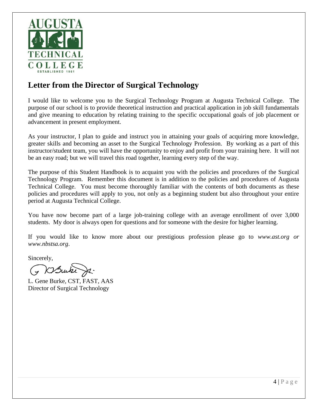

### **Letter from the Director of Surgical Technology**

I would like to welcome you to the Surgical Technology Program at Augusta Technical College. The purpose of our school is to provide theoretical instruction and practical application in job skill fundamentals and give meaning to education by relating training to the specific occupational goals of job placement or advancement in present employment.

As your instructor, I plan to guide and instruct you in attaining your goals of acquiring more knowledge, greater skills and becoming an asset to the Surgical Technology Profession. By working as a part of this instructor/student team, you will have the opportunity to enjoy and profit from your training here. It will not be an easy road; but we will travel this road together, learning every step of the way.

The purpose of this Student Handbook is to acquaint you with the policies and procedures of the Surgical Technology Program. Remember this document is in addition to the policies and procedures of Augusta Technical College. You must become thoroughly familiar with the contents of both documents as these policies and procedures will apply to you, not only as a beginning student but also throughout your entire period at Augusta Technical College.

You have now become part of a large job-training college with an average enrollment of over 3,000 students. My door is always open for questions and for someone with the desire for higher learning.

If you would like to know more about our prestigious profession please go to *www.ast.org or www.nbstsa.org*.

Sincerely,

DSwike

L. Gene Burke, CST, FAST, AAS Director of Surgical Technology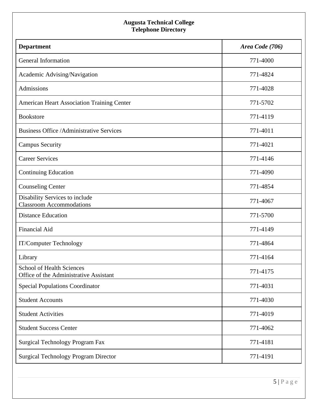#### **Augusta Technical College Telephone Directory**

| <b>Department</b>                                                          | Area Code (706) |
|----------------------------------------------------------------------------|-----------------|
| General Information                                                        | 771-4000        |
| Academic Advising/Navigation                                               | 771-4824        |
| Admissions                                                                 | 771-4028        |
| <b>American Heart Association Training Center</b>                          | 771-5702        |
| <b>Bookstore</b>                                                           | 771-4119        |
| <b>Business Office /Administrative Services</b>                            | 771-4011        |
| <b>Campus Security</b>                                                     | 771-4021        |
| <b>Career Services</b>                                                     | 771-4146        |
| Continuing Education                                                       | 771-4090        |
| <b>Counseling Center</b>                                                   | 771-4854        |
| Disability Services to include<br><b>Classroom Accommodations</b>          | 771-4067        |
| <b>Distance Education</b>                                                  | 771-5700        |
| <b>Financial Aid</b>                                                       | 771-4149        |
| IT/Computer Technology                                                     | 771-4864        |
| Library                                                                    | 771-4164        |
| <b>School of Health Sciences</b><br>Office of the Administrative Assistant | 771-4175        |
| <b>Special Populations Coordinator</b>                                     | 771-4031        |
| <b>Student Accounts</b>                                                    | 771-4030        |
| <b>Student Activities</b>                                                  | 771-4019        |
| <b>Student Success Center</b>                                              | 771-4062        |
| Surgical Technology Program Fax                                            | 771-4181        |
| <b>Surgical Technology Program Director</b>                                | 771-4191        |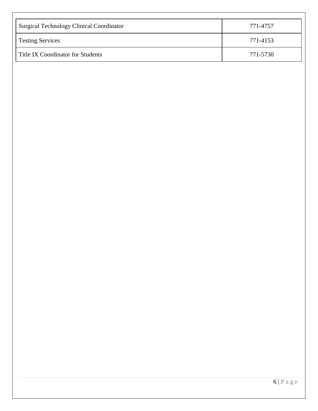| <b>Surgical Technology Clinical Coordinator</b> | 771-4757 |
|-------------------------------------------------|----------|
| <b>Testing Services</b>                         | 771-4153 |
| Title IX Coordinator for Students               | 771-5730 |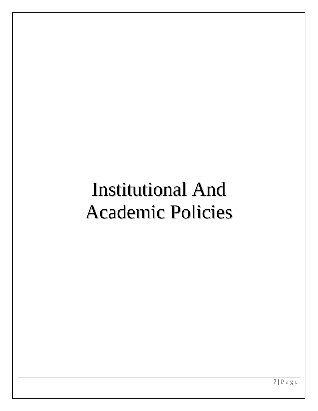## Institutional And Academic Policies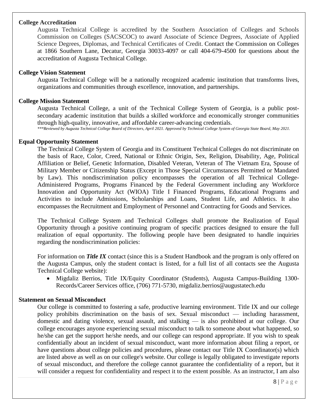#### **College Accreditation**

Augusta Technical College is accredited by the Southern Association of Colleges and Schools Commission on Colleges (SACSCOC) to award Associate of Science Degrees, Associate of Applied Science Degrees, Diplomas, and Technical Certificates of Credit. Contact the Commission on Colleges at 1866 Southern Lane, Decatur, Georgia 30033-4097 or call 404-679-4500 for questions about the accreditation of Augusta Technical College.

#### **College Vision Statement**

Augusta Technical College will be a nationally recognized academic institution that transforms lives, organizations and communities through excellence, innovation, and partnerships.

#### **College Mission Statement**

Augusta Technical College, a unit of the Technical College System of Georgia, is a public postsecondary academic institution that builds a skilled workforce and economically stronger communities through high-quality, innovative, and affordable career-advancing credentials.

*\*\*\*Reviewed by Augusta Technical College Board of Directors, April 2021. Approved by Technical College System of Georgia State Board, May 2021.*

#### **Equal Opportunity Statement**

The Technical College System of Georgia and its Constituent Technical Colleges do not discriminate on the basis of Race, Color, Creed, National or Ethnic Origin, Sex, Religion, Disability, Age, Political Affiliation or Belief, Genetic Information, Disabled Veteran, Veteran of The Vietnam Era, Spouse of Military Member or Citizenship Status (Except in Those Special Circumstances Permitted or Mandated by Law). This nondiscrimination policy encompasses the operation of all Technical College-Administered Programs, Programs Financed by the Federal Government including any Workforce Innovation and Opportunity Act (WIOA) Title I Financed Programs, Educational Programs and Activities to include Admissions, Scholarships and Loans, Student Life, and Athletics. It also encompasses the Recruitment and Employment of Personnel and Contracting for Goods and Services.

The Technical College System and Technical Colleges shall promote the Realization of Equal Opportunity through a positive continuing program of specific practices designed to ensure the full realization of equal opportunity. The following people have been designated to handle inquiries regarding the nondiscrimination policies:

For information on *Title IX* contact (since this is a Student Handbook and the program is only offered on the Augusta Campus, only the student contact is listed, for a full list of all contacts see the Augusta Technical College website):

• Migdaliz Berrios, Title IX/Equity Coordinator (Students), Augusta Campus-Building 1300- Records/Career Services office, (706) 771-5730, migdaliz.berrios@augustatech.edu

#### **Statement on Sexual Misconduct**

Our college is committed to fostering a safe, productive learning environment. Title IX and our college policy prohibits discrimination on the basis of sex. Sexual misconduct — including harassment, domestic and dating violence, sexual assault, and stalking — is also prohibited at our college. Our college encourages anyone experiencing sexual misconduct to talk to someone about what happened, so he/she can get the support he/she needs, and our college can respond appropriate. If you wish to speak confidentially about an incident of sexual misconduct, want more information about filing a report, or have questions about college policies and procedures, please contact our Title IX Coordinator(s) which are listed above as well as on our college's website. Our college is legally obligated to investigate reports of sexual misconduct, and therefore the college cannot guarantee the confidentiality of a report, but it will consider a request for confidentiality and respect it to the extent possible. As an instructor, I am also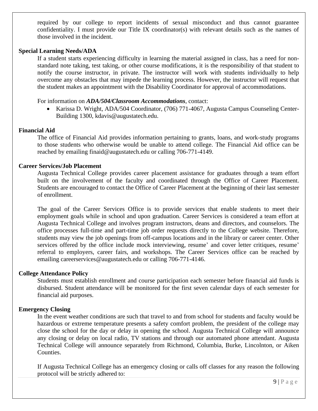required by our college to report incidents of sexual misconduct and thus cannot guarantee confidentiality. I must provide our Title IX coordinator(s) with relevant details such as the names of those involved in the incident.

#### **Special Learning Needs/ADA**

If a student starts experiencing difficulty in learning the material assigned in class, has a need for nonstandard note taking, test taking, or other course modifications, it is the responsibility of that student to notify the course instructor, in private. The instructor will work with students individually to help overcome any obstacles that may impede the learning process. However, the instructor will request that the student makes an appointment with the Disability Coordinator for approval of accommodations.

For information on *ADA/504/Classroom Accommodations*, contact:

• Karissa D. Wright, ADA/504 Coordinator, (706) 771-4067, Augusta Campus Counseling Center-Building 1300, kdavis@augustatech.edu.

#### **Financial Aid**

The office of Financial Aid provides information pertaining to grants, loans, and work-study programs to those students who otherwise would be unable to attend college. The Financial Aid office can be reached by emailing finaid@augustatech.edu or calling 706-771-4149.

#### **Career Services/Job Placement**

Augusta Technical College provides career placement assistance for graduates through a team effort built on the involvement of the faculty and coordinated through the Office of Career Placement. Students are encouraged to contact the Office of Career Placement at the beginning of their last semester of enrollment.

The goal of the Career Services Office is to provide services that enable students to meet their employment goals while in school and upon graduation. Career Services is considered a team effort at Augusta Technical College and involves program instructors, deans and directors, and counselors. The office processes full-time and part-time job order requests directly to the College website. Therefore, students may view the job openings from off-campus locations and in the library or career center. Other services offered by the office include mock interviewing, resume' and cover letter critiques, resume' referral to employers, career fairs, and workshops. The Career Services office can be reached by emailing careerservices@augustatech.edu or calling 706-771-4146.

#### **College Attendance Policy**

Students must establish enrollment and course participation each semester before financial aid funds is disbursed. Student attendance will be monitored for the first seven calendar days of each semester for financial aid purposes.

#### **Emergency Closing**

In the event weather conditions are such that travel to and from school for students and faculty would be hazardous or extreme temperature presents a safety comfort problem, the president of the college may close the school for the day or delay in opening the school. Augusta Technical College will announce any closing or delay on local radio, TV stations and through our automated phone attendant. Augusta Technical College will announce separately from Richmond, Columbia, Burke, Lincolnton, or Aiken Counties.

If Augusta Technical College has an emergency closing or calls off classes for any reason the following protocol will be strictly adhered to: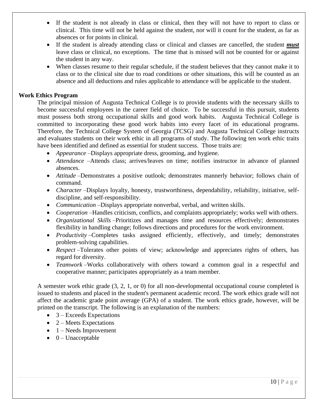- If the student is not already in class or clinical, then they will not have to report to class or clinical. This time will not be held against the student, nor will it count for the student, as far as absences or for points in clinical.
- If the student is already attending class or clinical and classes are cancelled, the student *must* leave class or clinical, no exceptions. The time that is missed will not be counted for or against the student in any way.
- When classes resume to their regular schedule, if the student believes that they cannot make it to class or to the clinical site due to road conditions or other situations, this will be counted as an absence and all deductions and rules applicable to attendance will be applicable to the student.

#### **Work Ethics Program**

The principal mission of Augusta Technical College is to provide students with the necessary skills to become successful employees in the career field of choice. To be successful in this pursuit, students must possess both strong occupational skills and good work habits. Augusta Technical College is committed to incorporating these good work habits into every facet of its educational programs. Therefore, the Technical College System of Georgia (TCSG) and Augusta Technical College instructs and evaluates students on their work ethic in all programs of study. The following ten work ethic traits have been identified and defined as essential for student success. Those traits are:

- *Appearance* –Displays appropriate dress, grooming, and hygiene.
- *Attendance* –Attends class; arrives/leaves on time; notifies instructor in advance of planned absences.
- *Attitude* –Demonstrates a positive outlook; demonstrates mannerly behavior; follows chain of command.
- *Character* –Displays loyalty, honesty, trustworthiness, dependability, reliability, initiative, selfdiscipline, and self-responsibility.
- *Communication* –Displays appropriate nonverbal, verbal, and written skills.
- *Cooperation* –Handles criticism, conflicts, and complaints appropriately; works well with others.
- *Organizational Skills* –Prioritizes and manages time and resources effectively; demonstrates flexibility in handling change; follows directions and procedures for the work environment.
- *Productivity* Completes tasks assigned efficiently, effectively, and timely; demonstrates problem-solving capabilities.
- *Respect* –Tolerates other points of view; acknowledge and appreciates rights of others, has regard for diversity.
- *Teamwork* –Works collaboratively with others toward a common goal in a respectful and cooperative manner; participates appropriately as a team member.

A semester work ethic grade (3, 2, 1, or 0) for all non-developmental occupational course completed is issued to students and placed in the student's permanent academic record. The work ethics grade will not affect the academic grade point average (GPA) of a student. The work ethics grade, however, will be printed on the transcript. The following is an explanation of the numbers:

- $\bullet$  3 Exceeds Expectations
- $2$  Meets Expectations
- $\bullet$  1 Needs Improvement
- $\bullet$  0 Unacceptable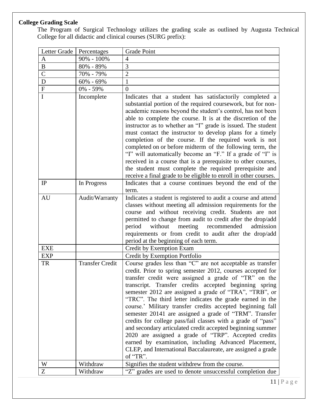#### **College Grading Scale**

The Program of Surgical Technology utilizes the grading scale as outlined by Augusta Technical College for all didactic and clinical courses (SURG prefix):

| Letter Grade   | Percentages            | Grade Point                                                                                                                                                                                                                                                                                                                                                                                                                                                                                                                                                                                                                                                                                                                                                                                                         |
|----------------|------------------------|---------------------------------------------------------------------------------------------------------------------------------------------------------------------------------------------------------------------------------------------------------------------------------------------------------------------------------------------------------------------------------------------------------------------------------------------------------------------------------------------------------------------------------------------------------------------------------------------------------------------------------------------------------------------------------------------------------------------------------------------------------------------------------------------------------------------|
| $\mathbf{A}$   | 90% - 100%             | 4                                                                                                                                                                                                                                                                                                                                                                                                                                                                                                                                                                                                                                                                                                                                                                                                                   |
| $\, {\bf B}$   | 80% - 89%              | 3                                                                                                                                                                                                                                                                                                                                                                                                                                                                                                                                                                                                                                                                                                                                                                                                                   |
| $\overline{C}$ | 70% - 79%              | $\overline{2}$                                                                                                                                                                                                                                                                                                                                                                                                                                                                                                                                                                                                                                                                                                                                                                                                      |
| ${\bf D}$      | $60\% - 69\%$          | 1                                                                                                                                                                                                                                                                                                                                                                                                                                                                                                                                                                                                                                                                                                                                                                                                                   |
| ${\bf F}$      | 0% - 59%               | $\Omega$                                                                                                                                                                                                                                                                                                                                                                                                                                                                                                                                                                                                                                                                                                                                                                                                            |
| $\mathbf I$    | Incomplete             | Indicates that a student has satisfactorily completed a<br>substantial portion of the required coursework, but for non-<br>academic reasons beyond the student's control, has not been<br>able to complete the course. It is at the discretion of the<br>instructor as to whether an "I" grade is issued. The student<br>must contact the instructor to develop plans for a timely<br>completion of the course. If the required work is not<br>completed on or before midterm of the following term, the<br>"I" will automatically become an "F." If a grade of "I" is<br>received in a course that is a prerequisite to other courses,<br>the student must complete the required prerequisite and<br>receive a final grade to be eligible to enroll in other courses.                                              |
| IP             | In Progress            | Indicates that a course continues beyond the end of the<br>term.                                                                                                                                                                                                                                                                                                                                                                                                                                                                                                                                                                                                                                                                                                                                                    |
| <b>AU</b>      | Audit/Warranty         | Indicates a student is registered to audit a course and attend<br>classes without meeting all admission requirements for the<br>course and without receiving credit. Students are not<br>permitted to change from audit to credit after the drop/add<br>without<br>meeting<br>period<br>recommended<br>admission<br>requirements or from credit to audit after the drop/add<br>period at the beginning of each term.                                                                                                                                                                                                                                                                                                                                                                                                |
| <b>EXE</b>     |                        | Credit by Exemption Exam                                                                                                                                                                                                                                                                                                                                                                                                                                                                                                                                                                                                                                                                                                                                                                                            |
| <b>EXP</b>     |                        | Credit by Exemption Portfolio                                                                                                                                                                                                                                                                                                                                                                                                                                                                                                                                                                                                                                                                                                                                                                                       |
| <b>TR</b>      | <b>Transfer Credit</b> | Course grades less than "C" are not acceptable as transfer<br>credit. Prior to spring semester 2012, courses accepted for<br>transfer credit were assigned a grade of "TR" on the<br>transcript. Transfer credits accepted beginning spring<br>semester 2012 are assigned a grade of "TRA", "TRB", or<br>"TRC". The third letter indicates the grade earned in the<br>course.' Military transfer credits accepted beginning fall<br>semester 20141 are assigned a grade of "TRM". Transfer<br>credits for college pass/fail classes with a grade of "pass"<br>and secondary articulated credit accepted beginning summer<br>2020 are assigned a grade of "TRP". Accepted credits<br>earned by examination, including Advanced Placement,<br>CLEP, and International Baccalaureate, are assigned a grade<br>of "TR". |
| W              | Withdraw               | Signifies the student withdrew from the course.                                                                                                                                                                                                                                                                                                                                                                                                                                                                                                                                                                                                                                                                                                                                                                     |
| Z              | Withdraw               | "Z" grades are used to denote unsuccessful completion due                                                                                                                                                                                                                                                                                                                                                                                                                                                                                                                                                                                                                                                                                                                                                           |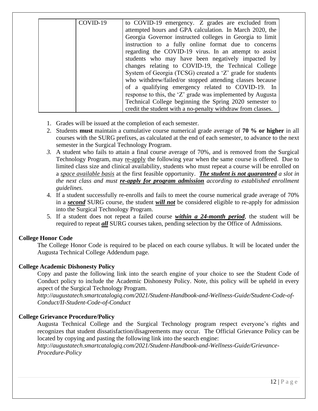| COVID-19 | to COVID-19 emergency. Z grades are excluded from           |
|----------|-------------------------------------------------------------|
|          | attempted hours and GPA calculation. In March 2020, the     |
|          | Georgia Governor instructed colleges in Georgia to limit    |
|          | instruction to a fully online format due to concerns        |
|          | regarding the COVID-19 virus. In an attempt to assist       |
|          | students who may have been negatively impacted by           |
|          | changes relating to COVID-19, the Technical College         |
|          | System of Georgia (TCSG) created a 'Z' grade for students   |
|          | who withdrew/failed/or stopped attending classes because    |
|          | of a qualifying emergency related to COVID-19. In           |
|          | response to this, the 'Z' grade was implemented by Augusta  |
|          | Technical College beginning the Spring 2020 semester to     |
|          | credit the student with a no-penalty withdraw from classes. |

- 1. Grades will be issued at the completion of each semester.
- 2. Students **must** maintain a cumulative course numerical grade average of **70 % or higher** in all courses with the SURG prefixes, as calculated at the end of each semester, to advance to the next semester in the Surgical Technology Program.
- *3.* A student who fails to attain a final course average of 70%, and is removed from the Surgical Technology Program, may re-apply the following year when the same course is offered. Due to limited class size and clinical availability, students who must repeat a course will be enrolled on a *space available basis* at the first feasible opportunity. *The student is not guaranteed a slot in the next class and must re-apply for program admission according to established enrollment guidelines.*
- 4. If a student successfully re-enrolls and fails to meet the course numerical grade average of 70% in a *second* SURG course, the student *will not* be considered eligible to re-apply for admission into the Surgical Technology Program.
- 5. If a student does not repeat a failed course *within a 24-month period*, the student will be required to repeat *all* SURG courses taken, pending selection by the Office of Admissions.

#### **College Honor Code**

The College Honor Code is required to be placed on each course syllabus. It will be located under the Augusta Technical College Addendum page.

#### **College Academic Dishonesty Policy**

Copy and paste the following link into the search engine of your choice to see the Student Code of Conduct policy to include the Academic Dishonesty Policy. Note, this policy will be upheld in every aspect of the Surgical Technology Program.

*http://augustatech.smartcatalogiq.com/2021/Student-Handbook-and-Wellness-Guide/Student-Code-of-Conduct/II-Student-Code-of-Conduct*

#### **College Grievance Procedure/Policy**

Augusta Technical College and the Surgical Technology program respect everyone's rights and recognizes that student dissatisfaction/disagreements may occur. The Official Grievance Policy can be located by copying and pasting the following link into the search engine:

*http://augustatech.smartcatalogiq.com/2021/Student-Handbook-and-Wellness-Guide/Grievance-Procedure-Policy*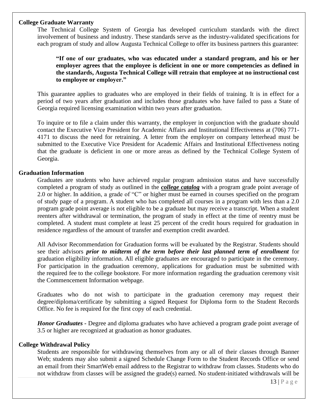#### **College Graduate Warranty**

The Technical College System of Georgia has developed curriculum standards with the direct involvement of business and industry. These standards serve as the industry-validated specifications for each program of study and allow Augusta Technical College to offer its business partners this guarantee:

**"If one of our graduates, who was educated under a standard program, and his or her employer agrees that the employee is deficient in one or more competencies as defined in the standards, Augusta Technical College will retrain that employee at no instructional cost to employee or employer."** 

This guarantee applies to graduates who are employed in their fields of training. It is in effect for a period of two years after graduation and includes those graduates who have failed to pass a State of Georgia required licensing examination within two years after graduation.

To inquire or to file a claim under this warranty, the employer in conjunction with the graduate should contact the Executive Vice President for Academic Affairs and Institutional Effectiveness at (706) 771- 4171 to discuss the need for retraining. A letter from the employer on company letterhead must be submitted to the Executive Vice President for Academic Affairs and Institutional Effectiveness noting that the graduate is deficient in one or more areas as defined by the Technical College System of Georgia.

#### **Graduation Information**

Graduates are students who have achieved regular program admission status and have successfully completed a program of study as outlined in the *college catalog* with a program grade point average of 2.0 or higher. In addition, a grade of "C" or higher must be earned in courses specified on the program of study page of a program. A student who has completed all courses in a program with less than a 2.0 program grade point average is not eligible to be a graduate but may receive a transcript. When a student reenters after withdrawal or termination, the program of study in effect at the time of reentry must be completed. A student must complete at least 25 percent of the credit hours required for graduation in residence regardless of the amount of transfer and exemption credit awarded.

All Advisor Recommendation for Graduation forms will be evaluated by the Registrar. Students should see their advisors *prior to midterm of the term before their last planned term of enrollment* for graduation eligibility information. All eligible graduates are encouraged to participate in the ceremony. For participation in the graduation ceremony, applications for graduation must be submitted with the required fee to the college bookstore. For more information regarding the graduation ceremony visit the Commencement Information webpage.

Graduates who do not wish to participate in the graduation ceremony may request their degree/diploma/certificate by submitting a signed Request for Diploma form to the Student Records Office. No fee is required for the first copy of each credential.

*Honor Graduates -* Degree and diploma graduates who have achieved a program grade point average of 3.5 or higher are recognized at graduation as honor graduates.

#### **College Withdrawal Policy**

Students are responsible for withdrawing themselves from any or all of their classes through Banner Web; students may also submit a signed Schedule Change Form to the Student Records Office or send an email from their SmartWeb email address to the Registrar to withdraw from classes. Students who do not withdraw from classes will be assigned the grade(s) earned. No student-initiated withdrawals will be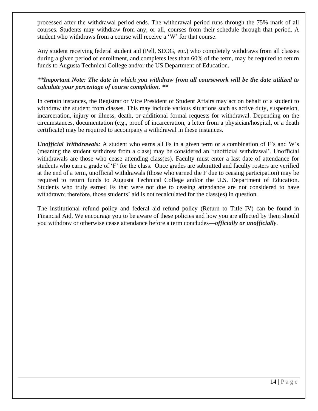processed after the withdrawal period ends. The withdrawal period runs through the 75% mark of all courses. Students may withdraw from any, or all, courses from their schedule through that period. A student who withdraws from a course will receive a 'W' for that course.

Any student receiving federal student aid (Pell, SEOG, etc.) who completely withdraws from all classes during a given period of enrollment, and completes less than 60% of the term, may be required to return funds to Augusta Technical College and/or the US Department of Education.

*\*\*Important Note: The date in which you withdraw from all coursework will be the date utilized to calculate your percentage of course completion. \*\**

In certain instances, the Registrar or Vice President of Student Affairs may act on behalf of a student to withdraw the student from classes. This may include various situations such as active duty, suspension, incarceration, injury or illness, death, or additional formal requests for withdrawal. Depending on the circumstances, documentation (e.g., proof of incarceration, a letter from a physician/hospital, or a death certificate) may be required to accompany a withdrawal in these instances.

*Unofficial Withdrawals:* A student who earns all Fs in a given term or a combination of F's and W's (meaning the student withdrew from a class) may be considered an 'unofficial withdrawal'. Unofficial withdrawals are those who cease attending class(es). Faculty must enter a last date of attendance for students who earn a grade of 'F' for the class. Once grades are submitted and faculty rosters are verified at the end of a term, unofficial withdrawals (those who earned the F due to ceasing participation) may be required to return funds to Augusta Technical College and/or the U.S. Department of Education. Students who truly earned Fs that were not due to ceasing attendance are not considered to have withdrawn; therefore, those students' aid is not recalculated for the class(es) in question.

The institutional refund policy and federal aid refund policy (Return to Title IV) can be found in Financial Aid. We encourage you to be aware of these policies and how you are affected by them should you withdraw or otherwise cease attendance before a term concludes—*officially or unofficially*.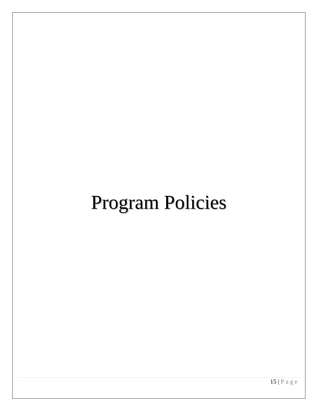## Program Policies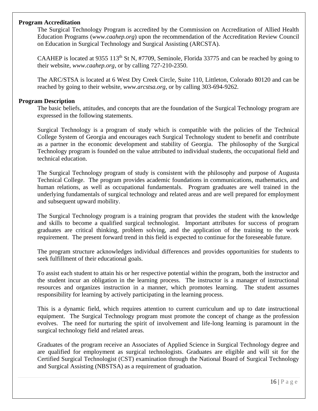#### **Program Accreditation**

The Surgical Technology Program is accredited by the Commission on Accreditation of Allied Health Education Programs (*www.caahep.org*) upon the recommendation of the Accreditation Review Council on Education in Surgical Technology and Surgical Assisting (ARCSTA).

CAAHEP is located at 9355 113<sup>th</sup> St N, #7709, Seminole, Florida 33775 and can be reached by going to their website, *www.caahep.org*, or by calling 727-210-2350.

The ARC/STSA is located at 6 West Dry Creek Circle, Suite 110, Littleton, Colorado 80120 and can be reached by going to their website, *www.arcstsa.org*, or by calling 303-694-9262.

#### **Program Description**

The basic beliefs, attitudes, and concepts that are the foundation of the Surgical Technology program are expressed in the following statements.

Surgical Technology is a program of study which is compatible with the policies of the Technical College System of Georgia and encourages each Surgical Technology student to benefit and contribute as a partner in the economic development and stability of Georgia. The philosophy of the Surgical Technology program is founded on the value attributed to individual students, the occupational field and technical education.

The Surgical Technology program of study is consistent with the philosophy and purpose of Augusta Technical College. The program provides academic foundations in communications, mathematics, and human relations, as well as occupational fundamentals. Program graduates are well trained in the underlying fundamentals of surgical technology and related areas and are well prepared for employment and subsequent upward mobility.

The Surgical Technology program is a training program that provides the student with the knowledge and skills to become a qualified surgical technologist. Important attributes for success of program graduates are critical thinking, problem solving, and the application of the training to the work requirement. The present forward trend in this field is expected to continue for the foreseeable future.

The program structure acknowledges individual differences and provides opportunities for students to seek fulfillment of their educational goals.

To assist each student to attain his or her respective potential within the program, both the instructor and the student incur an obligation in the learning process. The instructor is a manager of instructional resources and organizes instruction in a manner, which promotes learning. The student assumes responsibility for learning by actively participating in the learning process.

This is a dynamic field, which requires attention to current curriculum and up to date instructional equipment. The Surgical Technology program must promote the concept of change as the profession evolves. The need for nurturing the spirit of involvement and life-long learning is paramount in the surgical technology field and related areas.

Graduates of the program receive an Associates of Applied Science in Surgical Technology degree and are qualified for employment as surgical technologists. Graduates are eligible and will sit for the Certified Surgical Technologist (CST) examination through the National Board of Surgical Technology and Surgical Assisting (NBSTSA) as a requirement of graduation.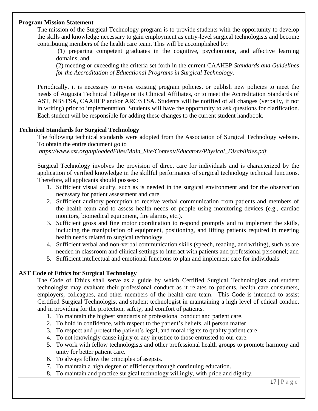#### **Program Mission Statement**

The mission of the Surgical Technology program is to provide students with the opportunity to develop the skills and knowledge necessary to gain employment as entry-level surgical technologists and become contributing members of the health care team. This will be accomplished by:

(1) preparing competent graduates in the cognitive, psychomotor, and affective learning domains, and

(2) meeting or exceeding the criteria set forth in the current CAAHEP *Standards and Guidelines for the Accreditation of Educational Programs in Surgical Technology*.

Periodically, it is necessary to revise existing program policies, or publish new policies to meet the needs of Augusta Technical College or its Clinical Affiliates, or to meet the Accreditation Standards of AST, NBSTSA, CAAHEP and/or ARC/STSA. Students will be notified of all changes (verbally, if not in writing) prior to implementation. Students will have the opportunity to ask questions for clarification. Each student will be responsible for adding these changes to the current student handbook.

#### **Technical Standards for Surgical Technology**

The following technical standards were adopted from the Association of Surgical Technology website. To obtain the entire document go to

*https://www.ast.org/uploadedFiles/Main\_Site/Content/Educators/Physical\_Disabilities.pdf*

Surgical Technology involves the provision of direct care for individuals and is characterized by the application of verified knowledge in the skillful performance of surgical technology technical functions. Therefore, all applicants should possess:

- 1. Sufficient visual acuity, such as is needed in the surgical environment and for the observation necessary for patient assessment and care.
- 2. Sufficient auditory perception to receive verbal communication from patients and members of the health team and to assess health needs of people using monitoring devices (e.g., cardiac monitors, biomedical equipment, fire alarms, etc.).
- 3. Sufficient gross and fine motor coordination to respond promptly and to implement the skills, including the manipulation of equipment, positioning, and lifting patients required in meeting health needs related to surgical technology.
- 4. Sufficient verbal and non-verbal communication skills (speech, reading, and writing), such as are needed in classroom and clinical settings to interact with patients and professional personnel; and
- 5. Sufficient intellectual and emotional functions to plan and implement care for individuals

#### **AST Code of Ethics for Surgical Technology**

The Code of Ethics shall serve as a guide by which Certified Surgical Technologists and student technologist may evaluate their professional conduct as it relates to patients, health care consumers, employers, colleagues, and other members of the health care team. This Code is intended to assist Certified Surgical Technologist and student technologist in maintaining a high level of ethical conduct and in providing for the protection, safety, and comfort of patients.

- 1. To maintain the highest standards of professional conduct and patient care.
- 2. To hold in confidence, with respect to the patient's beliefs, all person matter.
- 3. To respect and protect the patient's legal, and moral rights to quality patient care.
- 4. To not knowingly cause injury or any injustice to those entrusted to our care.
- 5. To work with fellow technologists and other professional health groups to promote harmony and unity for better patient care.
- 6. To always follow the principles of asepsis.
- 7. To maintain a high degree of efficiency through continuing education.
- 8. To maintain and practice surgical technology willingly, with pride and dignity.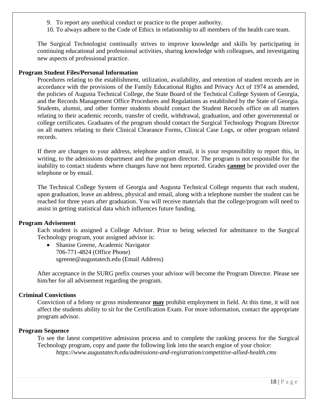- 9. To report any unethical conduct or practice to the proper authority.
- 10. To always adhere to the Code of Ethics in relationship to all members of the health care team.

The Surgical Technologist continually strives to improve knowledge and skills by participating in continuing educational and professional activities, sharing knowledge with colleagues, and investigating new aspects of professional practice.

#### **Program Student Files/Personal Information**

Procedures relating to the establishment, utilization, availability, and retention of student records are in accordance with the provisions of the Family Educational Rights and Privacy Act of 1974 as amended, the policies of Augusta Technical College, the State Board of the Technical College System of Georgia, and the Records Management Office Procedures and Regulations as established by the State of Georgia. Students, alumni, and other former students should contact the Student Records office on all matters relating to their academic records, transfer of credit, withdrawal, graduation, and other governmental or college certificates. Graduates of the program should contact the Surgical Technology Program Director on all matters relating to their Clinical Clearance Forms, Clinical Case Logs, or other program related records.

If there are changes to your address, telephone and/or email, it is your responsibility to report this, in writing, to the admissions department and the program director. The program is not responsible for the inability to contact students where changes have not been reported. Grades **cannot** be provided over the telephone or by email.

The Technical College System of Georgia and Augusta Technical College requests that each student, upon graduation, leave an address, physical and email, along with a telephone number the student can be reached for three years after graduation. You will receive materials that the college/program will need to assist in getting statistical data which influences future funding.

#### **Program Advisement**

Each student is assigned a College Advisor. Prior to being selected for admittance to the Surgical Technology program, your assigned advisor is:

• Shanise Greene, Academic Navigator 706-771-4824 (Office Phone) sgreene@augustatech.edu (Email Address)

After acceptance in the SURG prefix courses your advisor will become the Program Director. Please see him/her for all advisement regarding the program.

#### **Criminal Convictions**

Conviction of a felony or gross misdemeanor **may** prohibit employment in field. At this time, it will not affect the students ability to sit for the Certification Exam. For more information, contact the appropriate program advisor.

#### **Program Sequence**

To see the latest competitive admission process and to complete the ranking process for the Surgical Technology program, copy and paste the following link into the search engine of your choice: *https://www.augustatech.edu/admissions-and-registration/competitive-allied-health.cms*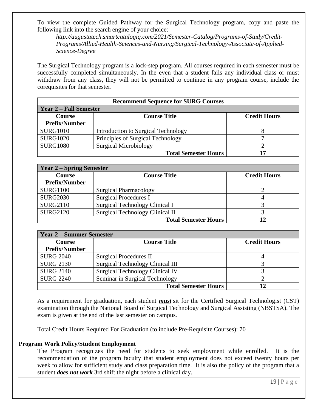To view the complete Guided Pathway for the Surgical Technology program, copy and paste the following link into the search engine of your choice:

*http://augustatech.smartcatalogiq.com/2021/Semester-Catalog/Programs-of-Study/Credit-Programs/Allied-Health-Sciences-and-Nursing/Surgical-Technology-Associate-of-Applied-Science-Degree*

The Surgical Technology program is a lock-step program. All courses required in each semester must be successfully completed simultaneously. In the even that a student fails any individual class or must withdraw from any class, they will not be permitted to continue in any program course, include the corequisites for that semester.

| <b>Recommend Sequence for SURG Courses</b>      |                                     |                     |  |
|-------------------------------------------------|-------------------------------------|---------------------|--|
| <b>Year 2 – Fall Semester</b>                   |                                     |                     |  |
| <b>Course</b>                                   | <b>Course Title</b>                 | <b>Credit Hours</b> |  |
| <b>Prefix/Number</b>                            |                                     |                     |  |
| <b>SURG1010</b>                                 | Introduction to Surgical Technology |                     |  |
| <b>SURG1020</b>                                 | Principles of Surgical Technology   |                     |  |
| <b>SURG1080</b><br><b>Surgical Microbiology</b> |                                     |                     |  |
| <b>Total Semester Hours</b><br>17               |                                     |                     |  |

| <b>Year 2 – Spring Semester</b> |                                        |                     |
|---------------------------------|----------------------------------------|---------------------|
| Course                          | <b>Course Title</b>                    | <b>Credit Hours</b> |
| <b>Prefix/Number</b>            |                                        |                     |
| <b>SURG1100</b>                 | <b>Surgical Pharmacology</b>           |                     |
| <b>SURG2030</b>                 | <b>Surgical Procedures I</b>           |                     |
| <b>SURG2110</b>                 | Surgical Technology Clinical I         |                     |
| <b>SURG2120</b>                 | <b>Surgical Technology Clinical II</b> |                     |
|                                 | <b>Total Semester Hours</b>            |                     |

| <b>Year 2 – Summer Semester</b> |                                         |                     |
|---------------------------------|-----------------------------------------|---------------------|
| <b>Course</b>                   | <b>Course Title</b>                     | <b>Credit Hours</b> |
| <b>Prefix/Number</b>            |                                         |                     |
| <b>SURG 2040</b>                | <b>Surgical Procedures II</b>           |                     |
| <b>SURG 2130</b>                | <b>Surgical Technology Clinical III</b> |                     |
| <b>SURG 2140</b>                | <b>Surgical Technology Clinical IV</b>  |                     |
| <b>SURG 2240</b>                | Seminar in Surgical Technology          |                     |
|                                 | <b>Total Semester Hours</b>             | 12                  |

As a requirement for graduation, each student *must* sit for the Certified Surgical Technologist (CST) examination through the National Board of Surgical Technology and Surgical Assisting (NBSTSA). The exam is given at the end of the last semester on campus.

Total Credit Hours Required For Graduation (to include Pre-Requisite Courses): 70

#### **Program Work Policy/Student Employment**

The Program recognizes the need for students to seek employment while enrolled. It is the recommendation of the program faculty that student employment does not exceed twenty hours per week to allow for sufficient study and class preparation time. It is also the policy of the program that a student *does not work* 3rd shift the night before a clinical day.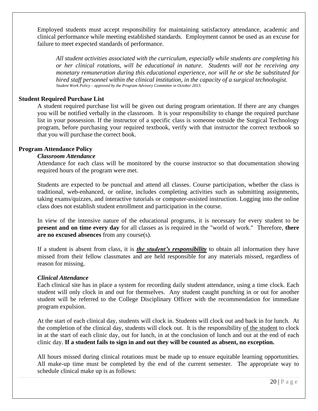Employed students must accept responsibility for maintaining satisfactory attendance, academic and clinical performance while meeting established standards. Employment cannot be used as an excuse for failure to meet expected standards of performance.

*All student activities associated with the curriculum, especially while students are completing his or her clinical rotations, will be educational in nature. Students will not be receiving any monetary remuneration during this educational experience, nor will he or she be substituted for hired staff personnel within the clinical institution, in the capacity of a surgical technologist. Student Work Policy – approved by the Program Advisory Committee in October 2013.*

#### **Student Required Purchase List**

A student required purchase list will be given out during program orientation. If there are any changes you will be notified verbally in the classroom. It is your responsibility to change the required purchase list in your possession. If the instructor of a specific class is someone outside the Surgical Technology program, before purchasing your required textbook, verify with that instructor the correct textbook so that you will purchase the correct book.

#### **Program Attendance Policy**

#### *Classroom Attendance*

Attendance for each class will be monitored by the course instructor so that documentation showing required hours of the program were met.

Students are expected to be punctual and attend all classes. Course participation, whether the class is traditional, web-enhanced, or online, includes completing activities such as submitting assignments, taking exams/quizzes, and interactive tutorials or computer-assisted instruction. Logging into the online class does not establish student enrollment and participation in the course.

In view of the intensive nature of the educational programs, it is necessary for every student to be **present and on time every day** for all classes as is required in the "world of work." Therefore, **there are no excused absences** from any course(s).

If a student is absent from class, it is *the student's responsibility* to obtain all information they have missed from their fellow classmates and are held responsible for any materials missed, regardless of reason for missing.

#### *Clinical Attendance*

Each clinical site has in place a system for recording daily student attendance, using a time clock. Each student will only clock in and out for themselves. Any student caught punching in or out for another student will be referred to the College Disciplinary Officer with the recommendation for immediate program expulsion.

At the start of each clinical day, students will clock in. Students will clock out and back in for lunch. At the completion of the clinical day, students will clock out. It is the responsibility of the student to clock in at the start of each clinic day, out for lunch, in at the conclusion of lunch and out at the end of each clinic day. **If a student fails to sign in and out they will be counted as absent, no exception.** 

All hours missed during clinical rotations must be made up to ensure equitable learning opportunities. All make-up time must be completed by the end of the current semester*.* The appropriate way to schedule clinical make up is as follows: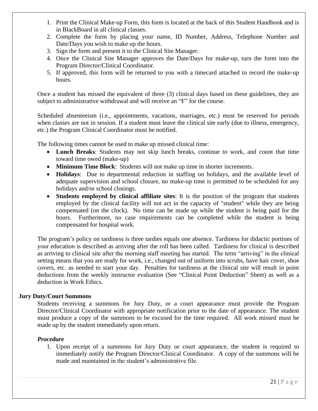- 1. Print the Clinical Make-up Form, this form is located at the back of this Student Handbook and is in BlackBoard in all clinical classes.
- 2. Complete the form by placing your name, ID Number, Address, Telephone Number and Date/Days you wish to make up the hours.
- 3. Sign the form and present it to the Clinical Site Manager.
- 4. Once the Clinical Site Manager approves the Date/Days for make-up, turn the form into the Program Director/Clinical Coordinator.
- 5. If approved, this form will be returned to you with a timecard attached to record the make-up hours.

Once a student has missed the equivalent of three (3) clinical days based on these guidelines, they are subject to administrative withdrawal and will receive an "F" for the course.

Scheduled absenteeism (i.e., appointments, vacations, marriages, etc.) must be reserved for periods when classes are not in session. If a student must leave the clinical site early (due to illness, emergency, etc.) the Program Clinical Coordinator must be notified.

The following times cannot be used to make up missed clinical time:

- **Lunch Breaks**: Students may not skip lunch breaks, continue to work, and count that time toward time owed (make-up)
- **Minimum Time Block**: Students will not make up time in shorter increments.
- **Holidays**: Due to departmental reduction in staffing on holidays, and the available level of adequate supervision and school closure, no make-up time is permitted to be scheduled for any holidays and/or school closings.
- **Students employed by clinical affiliate sites**: It is the position of the program that students employed by the clinical facility will not act in the capacity of "student" while they are being compensated (on the clock). No time can be made up while the student is being paid for the hours. Furthermore, no case requirements can be completed while the student is being compensated for hospital work.

The program's policy on tardiness is three tardies equals one absence. Tardiness for didactic portions of your education is described as arriving after the roll has been called. Tardiness for clinical is described as arriving to clinical site after the morning staff meeting has started. The term "arriving" in the clinical setting means that you are ready for work, i.e., changed out of uniform into scrubs, have hair cover, shoe covers, etc. as needed to start your day. Penalties for tardiness at the clinical site will result in point deductions from the weekly instructor evaluation (See "Clinical Point Deduction" Sheet) as well as a deduction in Work Ethics.

#### **Jury Duty/Court Summons**

Students receiving a summons for Jury Duty, or a court appearance must provide the Program Director/Clinical Coordinator with appropriate notification prior to the date of appearance. The student must produce a copy of the summons to be excused for the time required. All work missed must be made up by the student immediately upon return.

#### *Procedure*

1. Upon receipt of a summons for Jury Duty or court appearance, the student is required to immediately notify the Program Director/Clinical Coordinator. A copy of the summons will be made and maintained in the student's administrative file.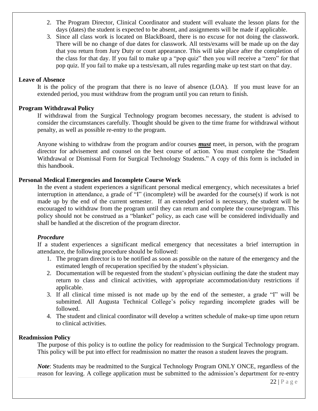- 2. The Program Director, Clinical Coordinator and student will evaluate the lesson plans for the days (dates) the student is expected to be absent, and assignments will be made if applicable.
- 3. Since all class work is located on BlackBoard, there is no excuse for not doing the classwork. There will be no change of due dates for classwork. All tests/exams will be made up on the day that you return from Jury Duty or court appearance. This will take place after the completion of the class for that day. If you fail to make up a "pop quiz" then you will receive a "zero" for that pop quiz. If you fail to make up a tests/exam, all rules regarding make up test start on that day.

#### **Leave of Absence**

It is the policy of the program that there is no leave of absence (LOA). If you must leave for an extended period, you must withdraw from the program until you can return to finish.

#### **Program Withdrawal Policy**

If withdrawal from the Surgical Technology program becomes necessary, the student is advised to consider the circumstances carefully. Thought should be given to the time frame for withdrawal without penalty, as well as possible re-entry to the program.

Anyone wishing to withdraw from the program and/or courses *must* meet, in person, with the program director for advisement and counsel on the best course of action. You must complete the "Student Withdrawal or Dismissal Form for Surgical Technology Students." A copy of this form is included in this handbook.

#### **Personal Medical Emergencies and Incomplete Course Work**

In the event a student experiences a significant personal medical emergency, which necessitates a brief interruption in attendance, a grade of "I" (incomplete) will be awarded for the course(s) if work is not made up by the end of the current semester. If an extended period is necessary, the student will be encouraged to withdraw from the program until they can return and complete the course/program. This policy should not be construed as a "blanket" policy, as each case will be considered individually and shall be handled at the discretion of the program director.

#### *Procedure*

If a student experiences a significant medical emergency that necessitates a brief interruption in attendance, the following procedure should be followed:

- 1. The program director is to be notified as soon as possible on the nature of the emergency and the estimated length of recuperation specified by the student's physician.
- 2. Documentation will be requested from the student's physician outlining the date the student may return to class and clinical activities, with appropriate accommodation/duty restrictions if applicable.
- 3. If all clinical time missed is not made up by the end of the semester, a grade "I" will be submitted. All Augusta Technical College's policy regarding incomplete grades will be followed.
- 4. The student and clinical coordinator will develop a written schedule of make-up time upon return to clinical activities.

#### **Readmission Policy**

The purpose of this policy is to outline the policy for readmission to the Surgical Technology program. This policy will be put into effect for readmission no matter the reason a student leaves the program.

*Note*: Students may be readmitted to the Surgical Technology Program ONLY ONCE, regardless of the reason for leaving. A college application must be submitted to the admission's department for re-entry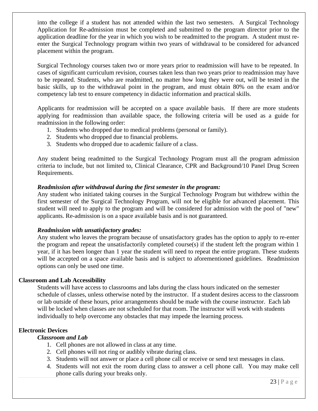into the college if a student has not attended within the last two semesters. A Surgical Technology Application for Re-admission must be completed and submitted to the program director prior to the application deadline for the year in which you wish to be readmitted to the program. A student must reenter the Surgical Technology program within two years of withdrawal to be considered for advanced placement within the program.

Surgical Technology courses taken two or more years prior to readmission will have to be repeated. In cases of significant curriculum revision, courses taken less than two years prior to readmission may have to be repeated. Students, who are readmitted, no matter how long they were out, will be tested in the basic skills, up to the withdrawal point in the program, and must obtain 80% on the exam and/or competency lab test to ensure competency in didactic information and practical skills.

Applicants for readmission will be accepted on a space available basis. If there are more students applying for readmission than available space, the following criteria will be used as a guide for readmission in the following order:

- 1. Students who dropped due to medical problems (personal or family).
- 2. Students who dropped due to financial problems.
- 3. Students who dropped due to academic failure of a class.

Any student being readmitted to the Surgical Technology Program must all the program admission criteria to include, but not limited to, Clinical Clearance, CPR and Background/10 Panel Drug Screen Requirements.

#### *Readmission after withdrawal during the first semester in the program:*

Any student who initiated taking courses in the Surgical Technology Program but withdrew within the first semester of the Surgical Technology Program, will not be eligible for advanced placement. This student will need to apply to the program and will be considered for admission with the pool of "new" applicants. Re-admission is on a space available basis and is not guaranteed.

#### *Readmission with unsatisfactory grades:*

Any student who leaves the program because of unsatisfactory grades has the option to apply to re-enter the program and repeat the unsatisfactorily completed course(s) if the student left the program within 1 year, if it has been longer than 1 year the student will need to repeat the entire program. These students will be accepted on a space available basis and is subject to aforementioned guidelines. Readmission options can only be used one time.

#### **Classroom and Lab Accessibility**

Students will have access to classrooms and labs during the class hours indicated on the semester schedule of classes, unless otherwise noted by the instructor. If a student desires access to the classroom or lab outside of these hours, prior arrangements should be made with the course instructor. Each lab will be locked when classes are not scheduled for that room. The instructor will work with students individually to help overcome any obstacles that may impede the learning process.

#### **Electronic Devices**

#### *Classroom and Lab*

- 1. Cell phones are not allowed in class at any time.
- 2. Cell phones will not ring or audibly vibrate during class.
- 3. Students will not answer or place a cell phone call or receive or send text messages in class.
- 4. Students will not exit the room during class to answer a cell phone call. You may make cell phone calls during your breaks only.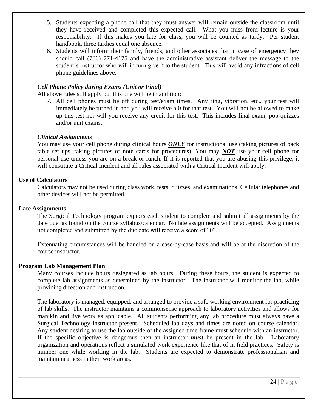- 5. Students expecting a phone call that they must answer will remain outside the classroom until they have received and completed this expected call. What you miss from lecture is your responsibility. If this makes you late for class, you will be counted as tardy. Per student handbook, three tardies equal one absence.
- 6. Students will inform their family, friends, and other associates that in case of emergency they should call (706) 771-4175 and have the administrative assistant deliver the message to the student's instructor who will in turn give it to the student. This will avoid any infractions of cell phone guidelines above.

#### *Cell Phone Policy during Exams (Unit or Final)*

All above rules still apply but this one will be in addition:

7. All cell phones must be off during test/exam times. Any ring, vibration, etc., your test will immediately be turned in and you will receive a 0 for that test. You will not be allowed to make up this test nor will you receive any credit for this test. This includes final exam, pop quizzes and/or unit exams.

#### *Clinical Assignments*

You may use your cell phone during clinical hours *ONLY* for instructional use (taking pictures of back table set ups, taking pictures of note cards for procedures). You may *NOT* use your cell phone for personal use unless you are on a break or lunch. If it is reported that you are abusing this privilege, it will constitute a Critical Incident and all rules associated with a Critical Incident will apply.

#### **Use of Calculators**

Calculators may not be used during class work, tests, quizzes, and examinations. Cellular telephones and other devices will not be permitted.

#### **Late Assignments**

The Surgical Technology program expects each student to complete and submit all assignments by the date due, as found on the course syllabus/calendar. No late assignments will be accepted. Assignments not completed and submitted by the due date will receive a score of "0".

Extenuating circumstances will be handled on a case-by-case basis and will be at the discretion of the course instructor.

#### **Program Lab Management Plan**

Many courses include hours designated as lab hours. During these hours, the student is expected to complete lab assignments as determined by the instructor. The instructor will monitor the lab, while providing direction and instruction.

The laboratory is managed, equipped, and arranged to provide a safe working environment for practicing of lab skills. The instructor maintains a commonsense approach to laboratory activities and allows for manikin and live work as applicable. All students performing any lab procedure must always have a Surgical Technology instructor present. Scheduled lab days and times are noted on course calendar. Any student desiring to use the lab outside of the assigned time frame must schedule with an instructor. If the specific objective is dangerous then an instructor *must* be present in the lab. Laboratory organization and operations reflect a simulated work experience like that of in field practices. Safety is number one while working in the lab. Students are expected to demonstrate professionalism and maintain neatness in their work areas.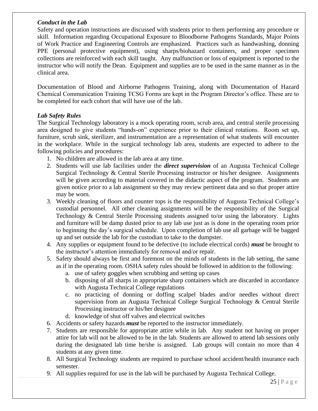#### *Conduct in the Lab*

Safety and operation instructions are discussed with students prior to them performing any procedure or skill. Information regarding Occupational Exposure to Bloodborne Pathogens Standards, Major Points of Work Practice and Engineering Controls are emphasized. Practices such as handwashing, donning PPE (personal protective equipment), using sharps/biohazard containers, and proper specimen collections are reinforced with each skill taught. Any malfunction or loss of equipment is reported to the instructor who will notify the Dean. Equipment and supplies are to be used in the same manner as in the clinical area.

Documentation of Blood and Airborne Pathogens Training, along with Documentation of Hazard Chemical Communication Training TCSG Forms are kept in the Program Director's office. These are to be completed for each cohort that will have use of the lab.

#### *Lab Safety Rules*

The Surgical Technology laboratory is a mock operating room, scrub area, and central sterile processing area designed to give students "hands-on" experience prior to their clinical rotations. Room set up, furniture, scrub sink, sterilizer, and instrumentation are a representation of what students will encounter in the workplace. While in the surgical technology lab area, students are expected to adhere to the following policies and procedures:

- 1. No children are allowed in the lab area at any time.
- 2. Students will use lab facilities under the *direct supervision* of an Augusta Technical College Surgical Technology & Central Sterile Processing instructor or his/her designee. Assignments will be given according to material covered in the didactic aspect of the program. Students are given notice prior to a lab assignment so they may review pertinent data and so that proper attire may be worn.
- 3. Weekly cleaning of floors and counter tops is the responsibility of Augusta Technical College's custodial personnel. All other cleaning assignments will be the responsibility of the Surgical Technology & Central Sterile Processing students assigned to/or using the laboratory. Lights and furniture will be damp dusted prior to any lab use just as is done in the operating room prior to beginning the day's surgical schedule. Upon completion of lab use all garbage will be bagged up and set outside the lab for the custodian to take to the dumpster.
- 4. Any supplies or equipment found to be defective (to include electrical cords) *must* be brought to the instructor's attention immediately for removal and/or repair.
- 5. Safety should always be first and foremost on the minds of students in the lab setting, the same as if in the operating room. OSHA safety rules should be followed in addition to the following:
	- a. use of safety goggles when scrubbing and setting up cases
	- b. disposing of all sharps in appropriate sharp containers which are discarded in accordance with Augusta Technical College regulations
	- c. no practicing of donning or doffing scalpel blades and/or needles without direct supervision from an Augusta Technical College Surgical Technology & Central Sterile Processing instructor or his/her designee
	- d. knowledge of shut off valves and electrical switches
- 6. Accidents or safety hazards *must* be reported to the instructor immediately.
- 7. Students are responsible for appropriate attire while in lab. Any student not having on proper attire for lab will not be allowed to be in the lab. Students are allowed to attend lab sessions only during the designated lab time he/she is assigned. Lab groups will contain no more than 4 students at any given time.
- 8. All Surgical Technology students are required to purchase school accident/health insurance each semester.
- 9. All supplies required for use in the lab will be purchased by Augusta Technical College.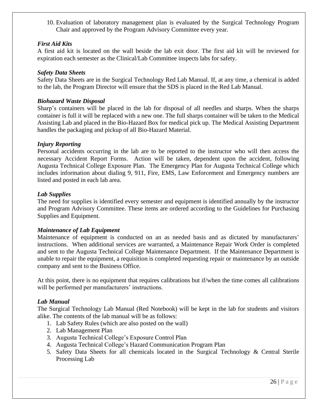10. Evaluation of laboratory management plan is evaluated by the Surgical Technology Program Chair and approved by the Program Advisory Committee every year.

#### *First Aid Kits*

A first aid kit is located on the wall beside the lab exit door. The first aid kit will be reviewed for expiration each semester as the Clinical/Lab Committee inspects labs for safety.

#### *Safety Data Sheets*

Safety Data Sheets are in the Surgical Technology Red Lab Manual. If, at any time, a chemical is added to the lab, the Program Director will ensure that the SDS is placed in the Red Lab Manual.

#### *Biohazard Waste Disposal*

Sharp's containers will be placed in the lab for disposal of all needles and sharps. When the sharps container is full it will be replaced with a new one. The full sharps container will be taken to the Medical Assisting Lab and placed in the Bio-Hazard Box for medical pick up. The Medical Assisting Department handles the packaging and pickup of all Bio-Hazard Material.

#### *Injury Reporting*

Personal accidents occurring in the lab are to be reported to the instructor who will then access the necessary Accident Report Forms. Action will be taken, dependent upon the accident, following Augusta Technical College Exposure Plan. The Emergency Plan for Augusta Technical College which includes information about dialing 9, 911, Fire, EMS, Law Enforcement and Emergency numbers are listed and posted in each lab area.

#### *Lab Supplies*

The need for supplies is identified every semester and equipment is identified annually by the instructor and Program Advisory Committee. These items are ordered according to the Guidelines for Purchasing Supplies and Equipment.

#### *Maintenance of Lab Equipment*

Maintenance of equipment is conducted on an as needed basis and as dictated by manufacturers' instructions. When additional services are warranted, a Maintenance Repair Work Order is completed and sent to the Augusta Technical College Maintenance Department. If the Maintenance Department is unable to repair the equipment, a requisition is completed requesting repair or maintenance by an outside company and sent to the Business Office.

At this point, there is no equipment that requires calibrations but if/when the time comes all calibrations will be performed per manufacturers' instructions.

#### *Lab Manual*

The Surgical Technology Lab Manual (Red Notebook) will be kept in the lab for students and visitors alike. The contents of the lab manual will be as follows:

- 1. Lab Safety Rules (which are also posted on the wall)
- 2. Lab Management Plan
- 3. Augusta Technical College's Exposure Control Plan
- 4. Augusta Technical College's Hazard Communication Program Plan
- 5. Safety Data Sheets for all chemicals located in the Surgical Technology & Central Sterile Processing Lab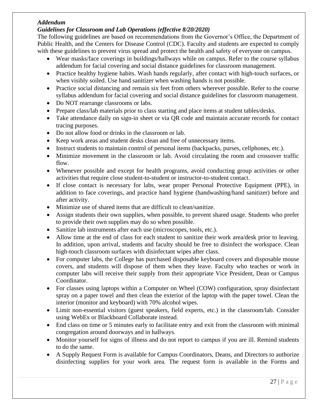#### *Addendum*

#### *Guidelines for Classroom and Lab Operations (effective 8/20/2020)*

The following guidelines are based on recommendations from the Governor's Office, the Department of Public Health, and the Centers for Disease Control (CDC). Faculty and students are expected to comply with these guidelines to prevent virus spread and protect the health and safety of everyone on campus.

- Wear masks/face coverings in buildings/hallways while on campus. Refer to the course syllabus addendum for facial covering and social distance guidelines for classroom management.
- Practice healthy hygiene habits. Wash hands regularly, after contact with high-touch surfaces, or when visibly soiled. Use hand sanitizer when washing hands is not possible.
- Practice social distancing and remain six feet from others wherever possible. Refer to the course syllabus addendum for facial covering and social distance guidelines for classroom management.
- Do NOT rearrange classrooms or labs.
- Prepare class/lab materials prior to class starting and place items at student tables/desks.
- Take attendance daily on sign-in sheet or via QR code and maintain accurate records for contact tracing purposes.
- Do not allow food or drinks in the classroom or lab.
- Keep work areas and student desks clean and free of unnecessary items.
- Instruct students to maintain control of personal items (backpacks, purses, cellphones, etc.).
- Minimize movement in the classroom or lab. Avoid circulating the room and crossover traffic flow.
- Whenever possible and except for health programs, avoid conducting group activities or other activities that require close student-to-student or instructor-to-student contact.
- If close contact is necessary for labs, wear proper Personal Protective Equipment (PPE), in addition to face coverings, and practice hand hygiene (handwashing/hand sanitizer) before and after activity.
- Minimize use of shared items that are difficult to clean/sanitize.
- Assign students their own supplies, when possible, to prevent shared usage. Students who prefer to provide their own supplies may do so when possible.
- Sanitize lab instruments after each use (microscopes, tools, etc.).
- Allow time at the end of class for each student to sanitize their work area/desk prior to leaving. In addition, upon arrival, students and faculty should be free to disinfect the workspace. Clean high-touch classroom surfaces with disinfectant wipes after class.
- For computer labs, the College has purchased disposable keyboard covers and disposable mouse covers, and students will dispose of them when they leave. Faculty who teaches or work in computer labs will receive their supply from their appropriate Vice President, Dean or Campus Coordinator.
- For classes using laptops within a Computer on Wheel (COW) configuration, spray disinfectant spray on a paper towel and then clean the exterior of the laptop with the paper towel. Clean the interior (monitor and keyboard) with 70% alcohol wipes.
- Limit non-essential visitors (guest speakers, field experts, etc.) in the classroom/lab. Consider using WebEx or Blackboard Collaborate instead.
- End class on time or 5 minutes early to facilitate entry and exit from the classroom with minimal congregation around doorways and in hallways.
- Monitor yourself for signs of illness and do not report to campus if you are ill. Remind students to do the same.
- A Supply Request Form is available for Campus Coordinators, Deans, and Directors to authorize disinfecting supplies for your work area. The request form is available in the Forms and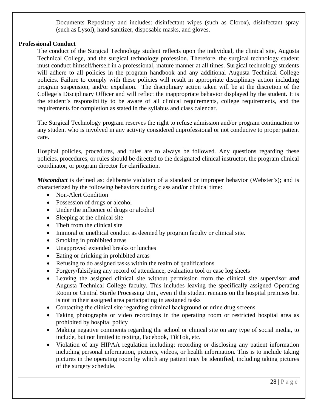Documents Repository and includes: disinfectant wipes (such as Clorox), disinfectant spray (such as Lysol), hand sanitizer, disposable masks, and gloves.

#### **Professional Conduct**

The conduct of the Surgical Technology student reflects upon the individual, the clinical site, Augusta Technical College, and the surgical technology profession. Therefore, the surgical technology student must conduct himself/herself in a professional, mature manner at all times. Surgical technology students will adhere to all policies in the program handbook and any additional Augusta Technical College policies. Failure to comply with these policies will result in appropriate disciplinary action including program suspension, and/or expulsion. The disciplinary action taken will be at the discretion of the College's Disciplinary Officer and will reflect the inappropriate behavior displayed by the student. It is the student's responsibility to be aware of all clinical requirements, college requirements, and the requirements for completion as stated in the syllabus and class calendar.

The Surgical Technology program reserves the right to refuse admission and/or program continuation to any student who is involved in any activity considered unprofessional or not conducive to proper patient care.

Hospital policies, procedures, and rules are to always be followed. Any questions regarding these policies, procedures, or rules should be directed to the designated clinical instructor, the program clinical coordinator, or program director for clarification.

*Misconduct* is defined as: deliberate violation of a standard or improper behavior (Webster's); and is characterized by the following behaviors during class and/or clinical time:

- Non-Alert Condition
- Possession of drugs or alcohol
- Under the influence of drugs or alcohol
- Sleeping at the clinical site
- Theft from the clinical site
- Immoral or unethical conduct as deemed by program faculty or clinical site.
- Smoking in prohibited areas
- Unapproved extended breaks or lunches
- Eating or drinking in prohibited areas
- Refusing to do assigned tasks within the realm of qualifications
- Forgery/falsifying any record of attendance, evaluation tool or case log sheets
- Leaving the assigned clinical site without permission from the clinical site supervisor *and* Augusta Technical College faculty. This includes leaving the specifically assigned Operating Room or Central Sterile Processing Unit, even if the student remains on the hospital premises but is not in their assigned area participating in assigned tasks
- Contacting the clinical site regarding criminal background or urine drug screens
- Taking photographs or video recordings in the operating room or restricted hospital area as prohibited by hospital policy
- Making negative comments regarding the school or clinical site on any type of social media, to include, but not limited to texting, Facebook, TikTok, etc.
- Violation of any HIPAA regulation including: recording or disclosing any patient information including personal information, pictures, videos, or health information. This is to include taking pictures in the operating room by which any patient may be identified, including taking pictures of the surgery schedule.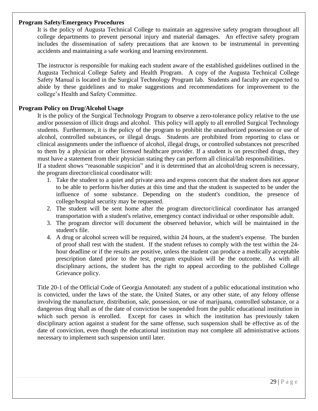#### **Program Safety/Emergency Procedures**

It is the policy of Augusta Technical College to maintain an aggressive safety program throughout all college departments to prevent personal injury and material damages. An effective safety program includes the dissemination of safety precautions that are known to be instrumental in preventing accidents and maintaining a safe working and learning environment.

The instructor is responsible for making each student aware of the established guidelines outlined in the Augusta Technical College Safety and Health Program. A copy of the Augusta Technical College Safety Manual is located in the Surgical Technology Program lab. Students and faculty are expected to abide by these guidelines and to make suggestions and recommendations for improvement to the college's Health and Safety Committee.

#### **Program Policy on Drug/Alcohol Usage**

It is the policy of the Surgical Technology Program to observe a zero-tolerance policy relative to the use and/or possession of illicit drugs and alcohol. This policy will apply to all enrolled Surgical Technology students. Furthermore, it is the policy of the program to prohibit the unauthorized possession or use of alcohol, controlled substances, or illegal drugs. Students are prohibited from reporting to class or clinical assignments under the influence of alcohol, illegal drugs, or controlled substances not prescribed to them by a physician or other licensed healthcare provider. If a student is on prescribed drugs, they must have a statement from their physician stating they can perform all clinical/lab responsibilities.

If a student shows "reasonable suspicion" and it is determined that an alcohol/drug screen is necessary, the program director/clinical coordinator will:

- 1. Take the student to a quiet and private area and express concern that the student does not appear to be able to perform his/her duties at this time and that the student is suspected to be under the influence of some substance. Depending on the student's condition, the presence of college/hospital security may be requested.
- 2. The student will be sent home after the program director/clinical coordinator has arranged transportation with a student's relative, emergency contact individual or other responsible adult.
- 3. The program director will document the observed behavior, which will be maintained in the student's file.
- 4. A drug or alcohol screen will be required, within 24 hours, at the student's expense. The burden of proof shall rest with the student. If the student refuses to comply with the test within the 24 hour deadline or if the results are positive, unless the student can produce a medically acceptable prescription dated prior to the test, program expulsion will be the outcome. As with all disciplinary actions, the student has the right to appeal according to the published College Grievance policy.

Title 20-1 of the Official Code of Georgia Annotated: any student of a public educational institution who is convicted, under the laws of the state, the United States, or any other state, of any felony offense involving the manufacture, distribution, sale, possession, or use of marijuana, controlled substance, or a dangerous drug shall as of the date of conviction be suspended from the public educational institution in which such person is enrolled. Except for cases in which the institution has previously taken disciplinary action against a student for the same offense, such suspension shall be effective as of the date of conviction, even though the educational institution may not complete all administrative actions necessary to implement such suspension until later.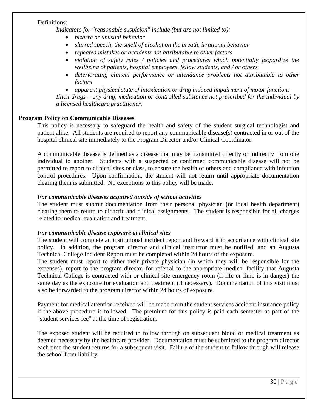#### Definitions:

*Indicators for "reasonable suspicion" include (but are not limited to):*

- *bizarre or unusual behavior*
- *slurred speech, the smell of alcohol on the breath, irrational behavior*
- *repeated mistakes or accidents not attributable to other factors*
- *violation of safety rules / policies and procedures which potentially jeopardize the wellbeing of patients, hospital employees, fellow students, and / or others*
- *deteriorating clinical performance or attendance problems not attributable to other factors*
- *apparent physical state of intoxication or drug induced impairment of motor functions*

*Illicit drugs – any drug, medication or controlled substance not prescribed for the individual by a licensed healthcare practitioner.*

#### **Program Policy on Communicable Diseases**

This policy is necessary to safeguard the health and safety of the student surgical technologist and patient alike. All students are required to report any communicable disease(s) contracted in or out of the hospital clinical site immediately to the Program Director and/or Clinical Coordinator.

A communicable disease is defined as a disease that may be transmitted directly or indirectly from one individual to another. Students with a suspected or confirmed communicable disease will not be permitted to report to clinical sites or class, to ensure the health of others and compliance with infection control procedures. Upon confirmation, the student will not return until appropriate documentation clearing them is submitted. No exceptions to this policy will be made.

#### *For communicable diseases acquired outside of school activities*

The student must submit documentation from their personal physician (or local health department) clearing them to return to didactic and clinical assignments. The student is responsible for all charges related to medical evaluation and treatment.

#### *For communicable disease exposure at clinical sites*

The student will complete an institutional incident report and forward it in accordance with clinical site policy. In addition, the program director and clinical instructor must be notified, and an Augusta Technical College Incident Report must be completed within 24 hours of the exposure.

The student must report to either their private physician (in which they will be responsible for the expenses), report to the program director for referral to the appropriate medical facility that Augusta Technical College is contracted with or clinical site emergency room (if life or limb is in danger) the same day as the exposure for evaluation and treatment (if necessary). Documentation of this visit must also be forwarded to the program director within 24 hours of exposure.

Payment for medical attention received will be made from the student services accident insurance policy if the above procedure is followed. The premium for this policy is paid each semester as part of the "student services fee" at the time of registration.

The exposed student will be required to follow through on subsequent blood or medical treatment as deemed necessary by the healthcare provider. Documentation must be submitted to the program director each time the student returns for a subsequent visit. Failure of the student to follow through will release the school from liability.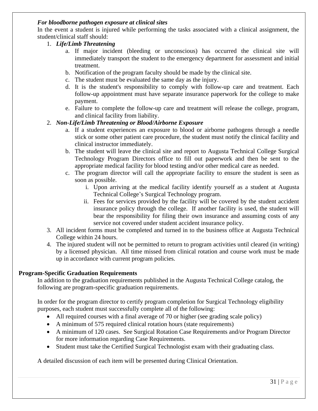#### *For bloodborne pathogen exposure at clinical sites*

In the event a student is injured while performing the tasks associated with a clinical assignment, the student/clinical staff should:

#### 1. *Life/Limb Threatening*

- a. If major incident (bleeding or unconscious) has occurred the clinical site will immediately transport the student to the emergency department for assessment and initial treatment.
- b. Notification of the program faculty should be made by the clinical site.
- c. The student must be evaluated the same day as the injury.
- d. It is the student's responsibility to comply with follow-up care and treatment. Each follow-up appointment must have separate insurance paperwork for the college to make payment.
- e. Failure to complete the follow-up care and treatment will release the college, program, and clinical facility from liability.

#### 2. *Non-Life/Limb Threatening or Blood/Airborne Exposure*

- a. If a student experiences an exposure to blood or airborne pathogens through a needle stick or some other patient care procedure, the student must notify the clinical facility and clinical instructor immediately.
- b. The student will leave the clinical site and report to Augusta Technical College Surgical Technology Program Directors office to fill out paperwork and then be sent to the appropriate medical facility for blood testing and/or other medical care as needed.
- c. The program director will call the appropriate facility to ensure the student is seen as soon as possible.
	- i. Upon arriving at the medical facility identify yourself as a student at Augusta Technical College's Surgical Technology program.
	- ii. Fees for services provided by the facility will be covered by the student accident insurance policy through the college. If another facility is used, the student will bear the responsibility for filing their own insurance and assuming costs of any service not covered under student accident insurance policy.
- 3. All incident forms must be completed and turned in to the business office at Augusta Technical College within 24 hours.
- 4. The injured student will not be permitted to return to program activities until cleared (in writing) by a licensed physician. All time missed from clinical rotation and course work must be made up in accordance with current program policies.

#### **Program-Specific Graduation Requirements**

In addition to the graduation requirements published in the Augusta Technical College catalog, the following are program-specific graduation requirements.

In order for the program director to certify program completion for Surgical Technology eligibility purposes, each student must successfully complete all of the following:

- All required courses with a final average of 70 or higher (see grading scale policy)
- A minimum of 575 required clinical rotation hours (state requirements)
- A minimum of 120 cases. See Surgical Rotation Case Requirements and/or Program Director for more information regarding Case Requirements.
- Student must take the Certified Surgical Technologist exam with their graduating class.

A detailed discussion of each item will be presented during Clinical Orientation.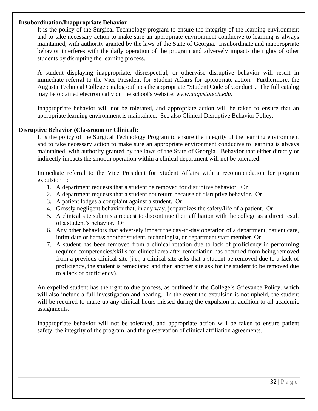#### **Insubordination/Inappropriate Behavior**

It is the policy of the Surgical Technology program to ensure the integrity of the learning environment and to take necessary action to make sure an appropriate environment conducive to learning is always maintained, with authority granted by the laws of the State of Georgia. Insubordinate and inappropriate behavior interferes with the daily operation of the program and adversely impacts the rights of other students by disrupting the learning process.

A student displaying inappropriate, disrespectful, or otherwise disruptive behavior will result in immediate referral to the Vice President for Student Affairs for appropriate action. Furthermore, the Augusta Technical College catalog outlines the appropriate "Student Code of Conduct". The full catalog may be obtained electronically on the school's website: *www.augustatech.edu*.

Inappropriate behavior will not be tolerated, and appropriate action will be taken to ensure that an appropriate learning environment is maintained. See also Clinical Disruptive Behavior Policy.

#### **Disruptive Behavior (Classroom or Clinical):**

It is the policy of the Surgical Technology Program to ensure the integrity of the learning environment and to take necessary action to make sure an appropriate environment conducive to learning is always maintained, with authority granted by the laws of the State of Georgia. Behavior that either directly or indirectly impacts the smooth operation within a clinical department will not be tolerated.

Immediate referral to the Vice President for Student Affairs with a recommendation for program expulsion if:

- 1. A department requests that a student be removed for disruptive behavior. Or
- 2. A department requests that a student not return because of disruptive behavior. Or
- 3. A patient lodges a complaint against a student. Or
- 4. Grossly negligent behavior that, in any way, jeopardizes the safety/life of a patient. Or
- 5. A clinical site submits a request to discontinue their affiliation with the college as a direct result of a student's behavior. Or
- 6. Any other behaviors that adversely impact the day-to-day operation of a department, patient care, intimidate or harass another student, technologist, or department staff member. Or
- 7. A student has been removed from a clinical rotation due to lack of proficiency in performing required competencies/skills for clinical area after remediation has occurred from being removed from a previous clinical site (i.e., a clinical site asks that a student be removed due to a lack of proficiency, the student is remediated and then another site ask for the student to be removed due to a lack of proficiency).

An expelled student has the right to due process, as outlined in the College's Grievance Policy, which will also include a full investigation and hearing. In the event the expulsion is not upheld, the student will be required to make up any clinical hours missed during the expulsion in addition to all academic assignments.

Inappropriate behavior will not be tolerated, and appropriate action will be taken to ensure patient safety, the integrity of the program, and the preservation of clinical affiliation agreements.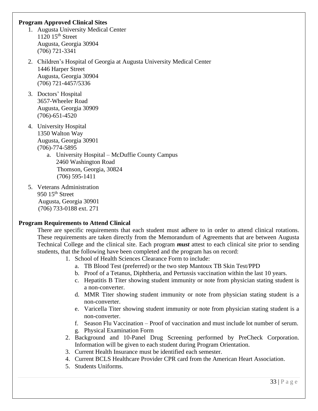#### **Program Approved Clinical Sites**

- 1. Augusta University Medical Center  $1120$   $15<sup>th</sup>$  Street Augusta, Georgia 30904 (706) 721-3341
- 2. Children's Hospital of Georgia at Augusta University Medical Center 1446 Harper Street Augusta, Georgia 30904 (706) 721-4457/5336
- 3. Doctors' Hospital 3657-Wheeler Road Augusta, Georgia 30909 (706)-651-4520
- 4. University Hospital 1350 Walton Way Augusta, Georgia 30901 (706)-774-5895
	- a. University Hospital McDuffie County Campus 2460 Washington Road Thomson, Georgia, 30824 (706) 595-1411
- 5. Veterans Administration 950 15<sup>th</sup> Street Augusta, Georgia 30901 (706) 733-0188 ext. 271

#### **Program Requirements to Attend Clinical**

There are specific requirements that each student must adhere to in order to attend clinical rotations. These requirements are taken directly from the Memorandum of Agreements that are between Augusta Technical College and the clinical site. Each program *must* attest to each clinical site prior to sending students, that the following have been completed and the program has on record:

- 1. School of Health Sciences Clearance Form to include:
	- a. TB Blood Test (preferred) or the two step Mantoux TB Skin Test/PPD
	- b. Proof of a Tetanus, Diphtheria, and Pertussis vaccination within the last 10 years.
	- c. Hepatitis B Titer showing student immunity or note from physician stating student is a non-converter.
	- d. MMR Titer showing student immunity or note from physician stating student is a non-converter.
	- e. Varicella Titer showing student immunity or note from physician stating student is a non-converter.
	- f. Season Flu Vaccination Proof of vaccination and must include lot number of serum.
	- g. Physical Examination Form
- 2. Background and 10-Panel Drug Screening performed by PreCheck Corporation. Information will be given to each student during Program Orientation.
- 3. Current Health Insurance must be identified each semester.
- 4. Current BCLS Healthcare Provider CPR card from the American Heart Association.
- 5. Students Uniforms.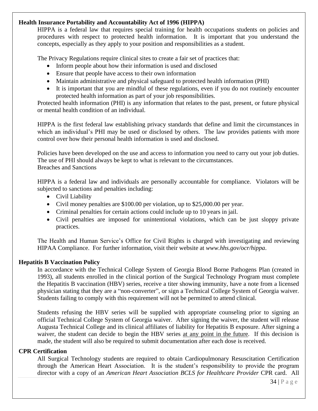#### **Health Insurance Portability and Accountability Act of 1996 (HIPPA)**

HIPPA is a federal law that requires special training for health occupations students on policies and procedures with respect to protected health information. It is important that you understand the concepts, especially as they apply to your position and responsibilities as a student.

The Privacy Regulations require clinical sites to create a fair set of practices that:

- Inform people about how their information is used and disclosed
- Ensure that people have access to their own information
- Maintain administrative and physical safeguard to protected health information (PHI)
- It is important that you are mindful of these regulations, even if you do not routinely encounter protected health information as part of your job responsibilities.

Protected health information (PHI) is any information that relates to the past, present, or future physical or mental health condition of an individual.

HIPPA is the first federal law establishing privacy standards that define and limit the circumstances in which an individual's PHI may be used or disclosed by others. The law provides patients with more control over how their personal health information is used and disclosed.

Policies have been developed on the use and access to information you need to carry out your job duties. The use of PHI should always be kept to what is relevant to the circumstances. Breaches and Sanctions

HIPPA is a federal law and individuals are personally accountable for compliance. Violators will be subjected to sanctions and penalties including:

- Civil Liability
- Civil money penalties are \$100.00 per violation, up to \$25,000.00 per year.
- Criminal penalties for certain actions could include up to 10 years in jail.
- Civil penalties are imposed for unintentional violations, which can be just sloppy private practices.

The Health and Human Service's Office for Civil Rights is charged with investigating and reviewing HIPAA Compliance. For further information, visit their website at *www.hhs.gov/ocr/hippa*.

#### **Hepatitis B Vaccination Policy**

In accordance with the Technical College System of Georgia Blood Borne Pathogens Plan (created in 1993), all students enrolled in the clinical portion of the Surgical Technology Program must complete the Hepatitis B vaccination (HBV) series, receive a titer showing immunity, have a note from a licensed physician stating that they are a "non-converter", or sign a Technical College System of Georgia waiver. Students failing to comply with this requirement will not be permitted to attend clinical.

Students refusing the HBV series will be supplied with appropriate counseling prior to signing an official Technical College System of Georgia waiver. After signing the waiver, the student will release Augusta Technical College and its clinical affiliates of liability for Hepatitis B exposure. After signing a waiver, the student can decide to begin the HBV series at any point in the future. If this decision is made, the student will also be required to submit documentation after each dose is received.

#### **CPR Certification**

All Surgical Technology students are required to obtain Cardiopulmonary Resuscitation Certification through the American Heart Association. It is the student's responsibility to provide the program director with a copy of an *American Heart Association BCLS for Healthcare Provider* CPR card. All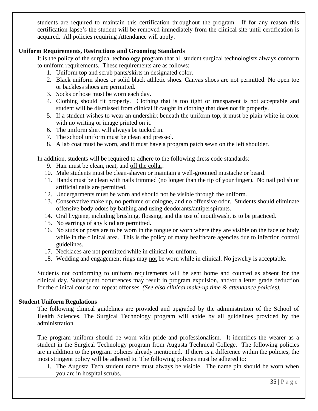students are required to maintain this certification throughout the program. If for any reason this certification lapse's the student will be removed immediately from the clinical site until certification is acquired. All policies requiring Attendance will apply.

#### **Uniform Requirements, Restrictions and Grooming Standards**

It is the policy of the surgical technology program that all student surgical technologists always conform to uniform requirements. These requirements are as follows:

- 1. Uniform top and scrub pants/skirts in designated color.
- 2. Black uniform shoes or solid black athletic shoes. Canvas shoes are not permitted. No open toe or backless shoes are permitted.
- 3. Socks or hose must be worn each day.
- 4. Clothing should fit properly. Clothing that is too tight or transparent is not acceptable and student will be dismissed from clinical if caught in clothing that does not fit properly.
- 5. If a student wishes to wear an undershirt beneath the uniform top, it must be plain white in color with no writing or image printed on it.
- 6. The uniform shirt will always be tucked in.
- 7. The school uniform must be clean and pressed.
- 8. A lab coat must be worn, and it must have a program patch sewn on the left shoulder.

In addition, students will be required to adhere to the following dress code standards:

- 9. Hair must be clean, neat, and off the collar.
- 10. Male students must be clean-shaven or maintain a well-groomed mustache or beard.
- 11. Hands must be clean with nails trimmed (no longer than the tip of your finger). No nail polish or artificial nails are permitted.
- 12. Undergarments must be worn and should not be visible through the uniform.
- 13. Conservative make up, no perfume or cologne, and no offensive odor. Students should eliminate offensive body odors by bathing and using deodorants/antiperspirants.
- 14. Oral hygiene, including brushing, flossing, and the use of mouthwash, is to be practiced.
- 15. No earrings of any kind are permitted.
- 16. No studs or posts are to be worn in the tongue or worn where they are visible on the face or body while in the clinical area. This is the policy of many healthcare agencies due to infection control guidelines.
- 17. Necklaces are not permitted while in clinical or uniform.
- 18. Wedding and engagement rings may not be worn while in clinical. No jewelry is acceptable.

Students not conforming to uniform requirements will be sent home and counted as absent for the clinical day. Subsequent occurrences may result in program expulsion, and/or a letter grade deduction for the clinical course for repeat offenses. *(See also clinical make-up time & attendance policies).*

#### **Student Uniform Regulations**

The following clinical guidelines are provided and upgraded by the administration of the School of Health Sciences. The Surgical Technology program will abide by all guidelines provided by the administration.

The program uniform should be worn with pride and professionalism. It identifies the wearer as a student in the Surgical Technology program from Augusta Technical College. The following policies are in addition to the program policies already mentioned. If there is a difference within the policies, the most stringent policy will be adhered to. The following policies must be adhered to:

1. The Augusta Tech student name must always be visible. The name pin should be worn when you are in hospital scrubs.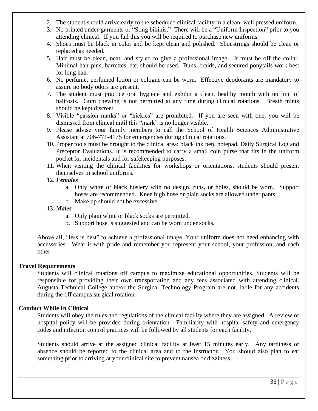- 2. The student should arrive early to the scheduled clinical facility in a clean, well pressed uniform.
- 3. No printed under-garments or "Sting bikinis." There will be a "Uniform Inspection" prior to you attending clinical. If you fail this you will be required to purchase new uniforms.
- 4. Shoes must be black in color and be kept clean and polished. Shoestrings should be clean or replaced as needed.
- 5. Hair must be clean, neat, and styled to give a professional image. It must be off the collar. Minimal hair pins, barrettes, etc. should be used. Buns, braids, and secured ponytails work best for long hair.
- 6. No perfume, perfumed lotion or cologne can be worn. Effective deodorants are mandatory to assure no body odors are present.
- 7. The student must practice oral hygiene and exhibit a clean, healthy mouth with no hint of halitosis. Gum chewing is not permitted at any time during clinical rotations. Breath mints should be kept discreet.
- 8. Visible "passion marks" or "hickies" are prohibited. If you are seen with one, you will be dismissed from clinical until this "mark" is no longer visible.
- 9. Please advise your family members to call the School of Health Sciences Administrative Assistant at 706-771-4175 for emergencies during clinical rotations.
- 10. Proper tools must be brought to the clinical area: black ink pen, notepad, Daily Surgical Log and Preceptor Evaluations. It is recommended to carry a small coin purse that fits in the uniform pocket for incidentals and for safekeeping purposes.
- 11. When visiting the clinical facilities for workshops or orientations, students should present themselves in school uniforms.
- 12. *Females*
	- a. Only white or black hosiery with no design, runs, or holes, should be worn. Support hoses are recommended. Knee high hose or plain socks are allowed under pants.
	- b. Make up should not be excessive.
- 13. *Males*
	- a. Only plain white or black socks are permitted.
	- b. Support hose is suggested and can be worn under socks.

Above all, "less is best" to achieve a professional image. Your uniform does not need enhancing with accessories. Wear it with pride and remember you represent your school, your profession, and each other

#### **Travel Requirements**

Students will clinical rotations off campus to maximize educational opportunities. Students will be responsible for providing their own transportation and any fees associated with attending clinical. Augusta Technical College and/or the Surgical Technology Program are not liable for any accidents during the off campus surgical rotation.

#### **Conduct While In Clinical**

Students will obey the rules and regulations of the clinical facility where they are assigned. A review of hospital policy will be provided during orientation. Familiarity with hospital safety and emergency codes and infection control practices will be followed by all students for each facility.

Students should arrive at the assigned clinical facility at least 15 minutes early. Any tardiness or absence should be reported to the clinical area and to the instructor. You should also plan to eat something prior to arriving at your clinical site to prevent nausea or dizziness.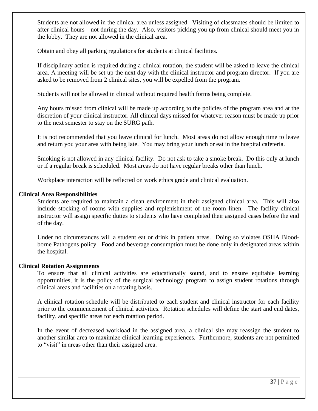Students are not allowed in the clinical area unless assigned. Visiting of classmates should be limited to after clinical hours—not during the day. Also, visitors picking you up from clinical should meet you in the lobby. They are not allowed in the clinical area.

Obtain and obey all parking regulations for students at clinical facilities.

If disciplinary action is required during a clinical rotation, the student will be asked to leave the clinical area. A meeting will be set up the next day with the clinical instructor and program director. If you are asked to be removed from 2 clinical sites, you will be expelled from the program.

Students will not be allowed in clinical without required health forms being complete.

Any hours missed from clinical will be made up according to the policies of the program area and at the discretion of your clinical instructor. All clinical days missed for whatever reason must be made up prior to the next semester to stay on the SURG path.

It is not recommended that you leave clinical for lunch. Most areas do not allow enough time to leave and return you your area with being late. You may bring your lunch or eat in the hospital cafeteria.

Smoking is not allowed in any clinical facility. Do not ask to take a smoke break. Do this only at lunch or if a regular break is scheduled. Most areas do not have regular breaks other than lunch.

Workplace interaction will be reflected on work ethics grade and clinical evaluation.

#### **Clinical Area Responsibilities**

Students are required to maintain a clean environment in their assigned clinical area. This will also include stocking of rooms with supplies and replenishment of the room linen. The facility clinical instructor will assign specific duties to students who have completed their assigned cases before the end of the day.

Under no circumstances will a student eat or drink in patient areas. Doing so violates OSHA Bloodborne Pathogens policy. Food and beverage consumption must be done only in designated areas within the hospital.

#### **Clinical Rotation Assignments**

To ensure that all clinical activities are educationally sound, and to ensure equitable learning opportunities, it is the policy of the surgical technology program to assign student rotations through clinical areas and facilities on a rotating basis.

A clinical rotation schedule will be distributed to each student and clinical instructor for each facility prior to the commencement of clinical activities. Rotation schedules will define the start and end dates, facility, and specific areas for each rotation period.

In the event of decreased workload in the assigned area, a clinical site may reassign the student to another similar area to maximize clinical learning experiences. Furthermore, students are not permitted to "visit" in areas other than their assigned area.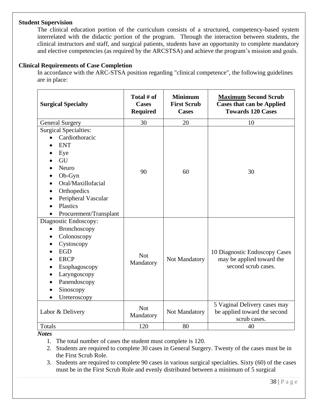#### **Student Supervision**

The clinical education portion of the curriculum consists of a structured, competency-based system interrelated with the didactic portion of the program. Through the interaction between students, the clinical instructors and staff, and surgical patients, students have an opportunity to complete mandatory and elective competencies (as required by the ARCSTSA) and achieve the program's mission and goals.

#### **Clinical Requirements of Case Completion**

In accordance with the ARC-STSA position regarding "clinical competence", the following guidelines are in place:

| <b>Surgical Specialty</b>                                                                                                                                                                             | Total # of<br><b>Cases</b><br><b>Required</b> | <b>Minimum</b><br><b>First Scrub</b><br><b>Cases</b> | <b>Maximum Second Scrub</b><br><b>Cases that can be Applied</b><br><b>Towards 120 Cases</b> |
|-------------------------------------------------------------------------------------------------------------------------------------------------------------------------------------------------------|-----------------------------------------------|------------------------------------------------------|---------------------------------------------------------------------------------------------|
| <b>General Surgery</b>                                                                                                                                                                                | 30                                            | 20                                                   | 10                                                                                          |
| <b>Surgical Specialties:</b><br>Cardiothoracic<br><b>ENT</b><br>Eye<br>GU<br>Neuro<br>Ob-Gyn<br>Oral/Maxillofacial<br>Orthopedics<br>Peripheral Vascular<br><b>Plastics</b><br>Procurement/Transplant | 90                                            | 60                                                   | 30                                                                                          |
| Diagnostic Endoscopy:<br>Bronchoscopy<br>Colonoscopy<br>Cystoscopy<br><b>EGD</b><br><b>ERCP</b><br>Esophagoscopy<br>Laryngoscopy<br>Panendoscopy<br>Sinoscopy<br>Ureteroscopy                         | <b>Not</b><br>Mandatory                       | Not Mandatory                                        | 10 Diagnostic Endoscopy Cases<br>may be applied toward the<br>second scrub cases.           |
| Labor & Delivery                                                                                                                                                                                      | <b>Not</b><br>Mandatory                       | Not Mandatory                                        | 5 Vaginal Delivery cases may<br>be applied toward the second<br>scrub cases.                |
| Totals                                                                                                                                                                                                | 120                                           | 80                                                   | 40                                                                                          |

*Notes*

- 1. The total number of cases the student must complete is 120.
- 2. Students are required to complete 30 cases in General Surgery. Twenty of the cases must be in the First Scrub Role.
- 3. Students are required to complete 90 cases in various surgical specialties. Sixty (60) of the cases must be in the First Scrub Role and evenly distributed between a minimum of 5 surgical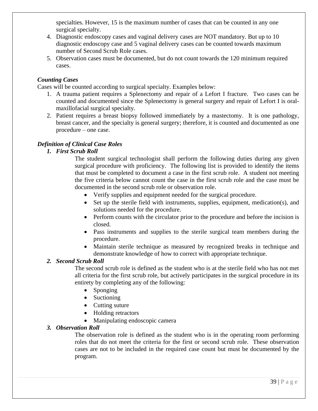specialties. However, 15 is the maximum number of cases that can be counted in any one surgical specialty.

- 4. Diagnostic endoscopy cases and vaginal delivery cases are NOT mandatory. But up to 10 diagnostic endoscopy case and 5 vaginal delivery cases can be counted towards maximum number of Second Scrub Role cases.
- 5. Observation cases must be documented, but do not count towards the 120 minimum required cases.

#### *Counting Cases*

Cases will be counted according to surgical specialty. Examples below:

- 1. A trauma patient requires a Splenectomy and repair of a Lefort I fracture. Two cases can be counted and documented since the Splenectomy is general surgery and repair of Lefort I is oralmaxillofacial surgical specialty.
- 2. Patient requires a breast biopsy followed immediately by a mastectomy. It is one pathology, breast cancer, and the specialty is general surgery; therefore, it is counted and documented as one procedure – one case.

#### *Definition of Clinical Case Roles*

#### *1. First Scrub Roll*

The student surgical technologist shall perform the following duties during any given surgical procedure with proficiency. The following list is provided to identify the items that must be completed to document a case in the first scrub role. A student not meeting the five criteria below cannot count the case in the first scrub role and the case must be documented in the second scrub role or observation role.

- Verify supplies and equipment needed for the surgical procedure.
- Set up the sterile field with instruments, supplies, equipment, medication(s), and solutions needed for the procedure.
- Perform counts with the circulator prior to the procedure and before the incision is closed.
- Pass instruments and supplies to the sterile surgical team members during the procedure.
- Maintain sterile technique as measured by recognized breaks in technique and demonstrate knowledge of how to correct with appropriate technique.

#### *2. Second Scrub Roll*

The second scrub role is defined as the student who is at the sterile field who has not met all criteria for the first scrub role, but actively participates in the surgical procedure in its entirety by completing any of the following:

- Sponging
- Suctioning
- Cutting suture
- Holding retractors
- Manipulating endoscopic camera

#### *3. Observation Roll*

The observation role is defined as the student who is in the operating room performing roles that do not meet the criteria for the first or second scrub role. These observation cases are not to be included in the required case count but must be documented by the program.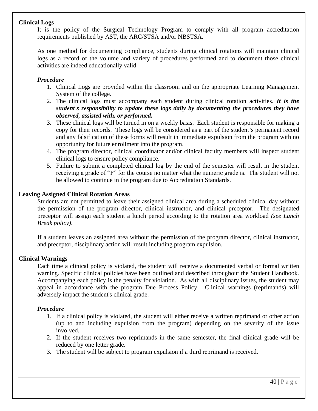#### **Clinical Logs**

It is the policy of the Surgical Technology Program to comply with all program accreditation requirements published by AST, the ARC/STSA and/or NBSTSA.

As one method for documenting compliance, students during clinical rotations will maintain clinical logs as a record of the volume and variety of procedures performed and to document those clinical activities are indeed educationally valid.

#### *Procedure*

- 1. Clinical Logs are provided within the classroom and on the appropriate Learning Management System of the college.
- 2. The clinical logs must accompany each student during clinical rotation activities. *It is the student's responsibility to update these logs daily by documenting the procedures they have observed, assisted with, or performed.*
- 3. These clinical logs will be turned in on a weekly basis. Each student is responsible for making a copy for their records. These logs will be considered as a part of the student's permanent record and any falsification of these forms will result in immediate expulsion from the program with no opportunity for future enrollment into the program.
- 4. The program director, clinical coordinator and/or clinical faculty members will inspect student clinical logs to ensure policy compliance.
- 5. Failure to submit a completed clinical log by the end of the semester will result in the student receiving a grade of "F" for the course no matter what the numeric grade is. The student will not be allowed to continue in the program due to Accreditation Standards.

#### **Leaving Assigned Clinical Rotation Areas**

Students are not permitted to leave their assigned clinical area during a scheduled clinical day without the permission of the program director, clinical instructor, and clinical preceptor. The designated preceptor will assign each student a lunch period according to the rotation area workload *(see Lunch Break policy)*.

If a student leaves an assigned area without the permission of the program director, clinical instructor, and preceptor, disciplinary action will result including program expulsion.

#### **Clinical Warnings**

Each time a clinical policy is violated, the student will receive a documented verbal or formal written warning. Specific clinical policies have been outlined and described throughout the Student Handbook. Accompanying each policy is the penalty for violation. As with all disciplinary issues, the student may appeal in accordance with the program Due Process Policy. Clinical warnings (reprimands) will adversely impact the student's clinical grade.

#### *Procedure*

- 1. If a clinical policy is violated, the student will either receive a written reprimand or other action (up to and including expulsion from the program) depending on the severity of the issue involved.
- 2. If the student receives two reprimands in the same semester, the final clinical grade will be reduced by one letter grade.
- 3. The student will be subject to program expulsion if a third reprimand is received.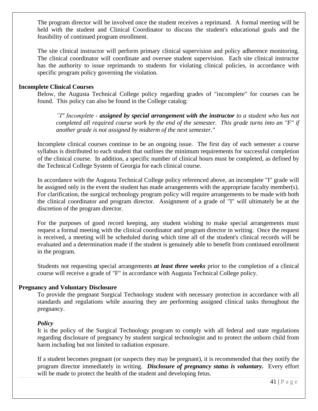The program director will be involved once the student receives a reprimand. A formal meeting will be held with the student and Clinical Coordinator to discuss the student's educational goals and the feasibility of continued program enrollment.

The site clinical instructor will perform primary clinical supervision and policy adherence monitoring. The clinical coordinator will coordinate and oversee student supervision. Each site clinical instructor has the authority to issue reprimands to students for violating clinical policies, in accordance with specific program policy governing the violation.

#### **Incomplete Clinical Courses**

Below, the Augusta Technical College policy regarding grades of "incomplete" for courses can be found. This policy can also be found in the College catalog:

*"I" Incomplete - assigned by special arrangement with the instructor to a student who has not completed all required course work by the end of the semester. This grade turns into an "F" if another grade is not assigned by midterm of the next semester."*

Incomplete clinical courses continue to be an ongoing issue. The first day of each semester a course syllabus is distributed to each student that outlines the minimum requirements for successful completion of the clinical course. In addition, a specific number of clinical hours must be completed, as defined by the Technical College System of Georgia for each clinical course.

In accordance with the Augusta Technical College policy referenced above, an incomplete "I" grade will be assigned only in the event the student has made arrangements with the appropriate faculty member(s). For clarification, the surgical technology program policy will require arrangements to be made with both the clinical coordinator and program director. Assignment of a grade of "I" will ultimately be at the discretion of the program director.

For the purposes of good record keeping, any student wishing to make special arrangements must request a formal meeting with the clinical coordinator and program director in writing. Once the request is received, a meeting will be scheduled during which time all of the student's clinical records will be evaluated and a determination made if the student is genuinely able to benefit from continued enrollment in the program.

Students not requesting special arrangements *at least three weeks* prior to the completion of a clinical course will receive a grade of "F" in accordance with Augusta Technical College policy.

#### **Pregnancy and Voluntary Disclosure**

To provide the pregnant Surgical Technology student with necessary protection in accordance with all standards and regulations while assuring they are performing assigned clinical tasks throughout the pregnancy.

#### *Policy*

It is the policy of the Surgical Technology program to comply with all federal and state regulations regarding disclosure of pregnancy by student surgical technologist and to protect the unborn child from harm including but not limited to radiation exposure.

If a student becomes pregnant (or suspects they may be pregnant), it is recommended that they notify the program director immediately in writing. *Disclosure of pregnancy status is voluntary.* Every effort will be made to protect the health of the student and developing fetus.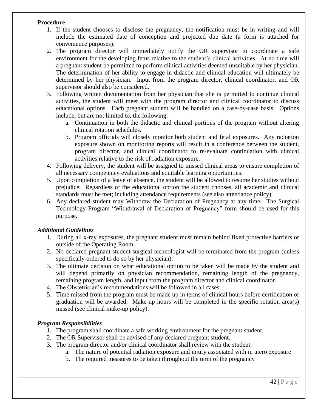#### **Procedure**

- 1. If the student chooses to disclose the pregnancy, the notification must be in writing and will include the estimated date of conception and projected due date (a form is attached for convenience purposes).
- 2. The program director will immediately notify the OR supervisor to coordinate a safe environment for the developing fetus relative to the student's clinical activities. At no time will a pregnant student be permitted to perform clinical activities deemed unsuitable by her physician. The determination of her ability to engage in didactic and clinical education will ultimately be determined by her physician. Input from the program director, clinical coordinator, and OR supervisor should also be considered.
- 3. Following written documentation from her physician that she is permitted to continue clinical activities, the student will meet with the program director and clinical coordinator to discuss educational options. Each pregnant student will be handled on a case-by-case basis. Options include, but are not limited to, the following:
	- a. Continuation in both the didactic and clinical portions of the program without altering clinical rotation schedules.
	- b. Program officials will closely monitor both student and fetal exposures. Any radiation exposure shown on monitoring reports will result in a conference between the student, program director, and clinical coordinator to re-evaluate continuation with clinical activities relative to the risk of radiation exposure.
- 4. Following delivery, the student will be assigned to missed clinical areas to ensure completion of all necessary competency evaluations and equitable learning opportunities.
- 5. Upon completion of a leave of absence, the student will be allowed to resume her studies without prejudice. Regardless of the educational option the student chooses, all academic and clinical standards must be met; including attendance requirements (see also attendance policy).
- 6. Any declared student may Withdraw the Declaration of Pregnancy at any time. The Surgical Technology Program "Withdrawal of Declaration of Pregnancy" form should be used for this purpose.

#### *Additional Guidelines*

- 1. During all x-ray exposures, the pregnant student must remain behind fixed protective barriers or outside of the Operating Room.
- 2. No declared pregnant student surgical technologist will be terminated from the program (unless specifically ordered to do so by her physician).
- 3. The ultimate decision on what educational option to be taken will be made by the student and will depend primarily on physician recommendation, remaining length of the pregnancy, remaining program length, and input from the program director and clinical coordinator.
- 4. The Obstetrician's recommendations will be followed in all cases.
- 5. Time missed from the program must be made up in terms of clinical hours before certification of graduation will be awarded. Make-up hours will be completed in the specific rotation area(s) missed (see clinical make-up policy).

#### *Program Responsibilities*

- 1. The program shall coordinate a safe working environment for the pregnant student.
- 2. The OR Supervisor shall be advised of any declared pregnant student.
- 3. The program director and/or clinical coordinator shall review with the student:
	- a. The nature of potential radiation exposure and injury associated with in utero exposure
	- b. The required measures to be taken throughout the term of the pregnancy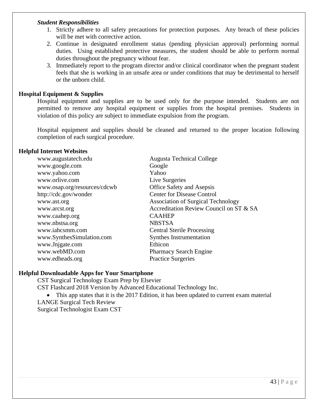#### *Student Responsibilities*

- 1. Strictly adhere to all safety precautions for protection purposes. Any breach of these policies will be met with corrective action.
- 2. Continue in designated enrollment status (pending physician approval) performing normal duties. Using established protective measures, the student should be able to perform normal duties throughout the pregnancy without fear.
- 3. Immediately report to the program director and/or clinical coordinator when the pregnant student feels that she is working in an unsafe area or under conditions that may be detrimental to herself or the unborn child.

#### **Hospital Equipment & Supplies**

Hospital equipment and supplies are to be used only for the purpose intended. Students are not permitted to remove any hospital equipment or supplies from the hospital premises. Students in violation of this policy are subject to immediate expulsion from the program.

Hospital equipment and supplies should be cleaned and returned to the proper location following completion of each surgical procedure.

#### **Helpful Internet Websites**

| www.augustatech.edu          | <b>Augusta Technical College</b>          |
|------------------------------|-------------------------------------------|
| www.google.com               | Google                                    |
| www.yahoo.com                | Yahoo                                     |
| www.orlive.com               | Live Surgeries                            |
| www.osap.org/resources/cdcwb | <b>Office Safety and Asepsis</b>          |
| http://cdc.gov/wonder        | <b>Center for Disease Control</b>         |
| www.ast.org                  | <b>Association of Surgical Technology</b> |
| www.arcst.org                | Accreditation Review Council on ST & SA   |
| www.caahep.org               | <b>CAAHEP</b>                             |
| www.nbstsa.org               | <b>NBSTSA</b>                             |
| www.iahcsmm.com              | <b>Central Sterile Processing</b>         |
| www.SynthesSimulation.com    | <b>Synthes Instrumentation</b>            |
| www.Jnjgate.com              | Ethicon                                   |
| www.webMD.com                | <b>Pharmacy Search Engine</b>             |
| www.edheads.org              | <b>Practice Surgeries</b>                 |

#### **Helpful Downloadable Apps for Your Smartphone**

CST Surgical Technology Exam Prep by Elsevier

CST Flashcard 2018 Version by Advanced Educational Technology Inc.

• This app states that it is the 2017 Edition, it has been updated to current exam material LANGE Surgical Tech Review Surgical Technologist Exam CST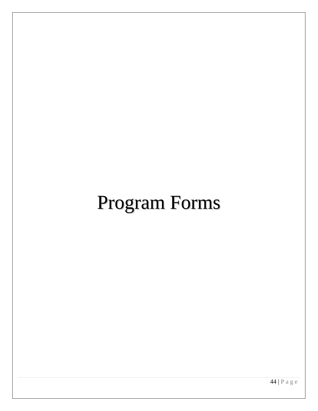# Program Forms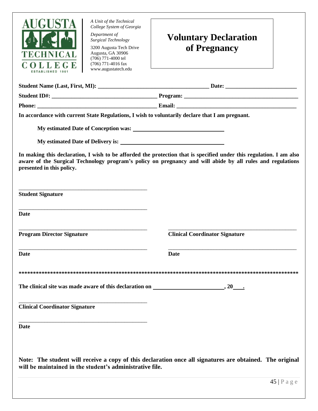

*Department of Surgical Technology*

3200 Augusta Tech Drive Augusta, GA 30906 (706) 771-4000 tel (706) 771-4016 fax www.augustatech.edu

## **Voluntary Declaration of Pregnancy**

| In accordance with current State Regulations, I wish to voluntarily declare that I am pregnant. |                                                                                                                                                                                                                                   |
|-------------------------------------------------------------------------------------------------|-----------------------------------------------------------------------------------------------------------------------------------------------------------------------------------------------------------------------------------|
|                                                                                                 |                                                                                                                                                                                                                                   |
|                                                                                                 |                                                                                                                                                                                                                                   |
| presented in this policy.                                                                       | In making this declaration, I wish to be afforded the protection that is specified under this regulation. I am also<br>aware of the Surgical Technology program's policy on pregnancy and will abide by all rules and regulations |
| <b>Student Signature</b>                                                                        |                                                                                                                                                                                                                                   |
| <b>Date</b>                                                                                     |                                                                                                                                                                                                                                   |
| <b>Program Director Signature</b>                                                               | <b>Clinical Coordinator Signature</b>                                                                                                                                                                                             |
| <b>Date</b>                                                                                     | <b>Date</b>                                                                                                                                                                                                                       |
|                                                                                                 |                                                                                                                                                                                                                                   |
| The clinical site was made aware of this declaration on $\qquad \qquad , 20 \qquad .$           |                                                                                                                                                                                                                                   |
| <b>Clinical Coordinator Signature</b>                                                           |                                                                                                                                                                                                                                   |
| <b>Date</b>                                                                                     |                                                                                                                                                                                                                                   |
| will be maintained in the student's administrative file.                                        | Note: The student will receive a copy of this declaration once all signatures are obtained. The original                                                                                                                          |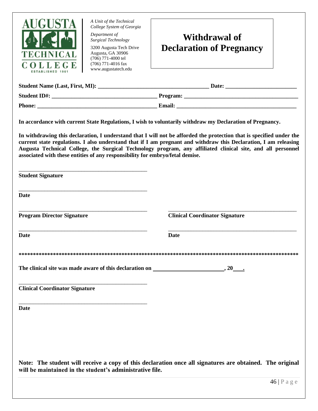

*Department of Surgical Technology*

3200 Augusta Tech Drive Augusta, GA 30906 (706) 771-4000 tel (706) 771-4016 fax www.augustatech.edu



| <b>Student Name (Last, First, MI):</b> | Date:         |
|----------------------------------------|---------------|
| <b>Student ID#:</b>                    | Program:      |
| <b>Phone:</b>                          | <b>Email:</b> |

**In accordance with current State Regulations, I wish to voluntarily withdraw my Declaration of Pregnancy.** 

**In withdrawing this declaration, I understand that I will not be afforded the protection that is specified under the current state regulations. I also understand that if I am pregnant and withdraw this Declaration, I am releasing Augusta Technical College, the Surgical Technology program, any affiliated clinical site, and all personnel associated with these entities of any responsibility for embryo/fetal demise.** 

| <b>Student Signature</b>                                                                                                                                             |                                       |
|----------------------------------------------------------------------------------------------------------------------------------------------------------------------|---------------------------------------|
| <b>Date</b>                                                                                                                                                          |                                       |
| <b>Program Director Signature</b>                                                                                                                                    | <b>Clinical Coordinator Signature</b> |
| <b>Date</b>                                                                                                                                                          | <b>Date</b>                           |
|                                                                                                                                                                      |                                       |
| The clinical site was made aware of this declaration on ________________________                                                                                     |                                       |
| <b>Clinical Coordinator Signature</b>                                                                                                                                |                                       |
| <b>Date</b>                                                                                                                                                          |                                       |
|                                                                                                                                                                      |                                       |
| Note: The student will receive a copy of this declaration once all signatures are obtained. The original<br>will be maintained in the student's administrative file. |                                       |
|                                                                                                                                                                      | 46   P a g e                          |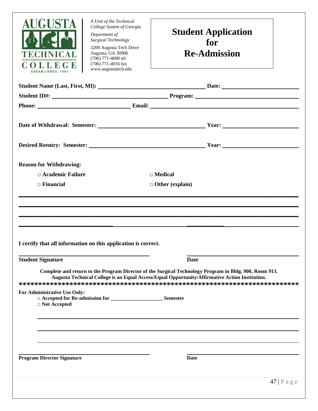

*Department of Surgical Technology*

3200 Augusta Tech Drive Augusta, GA 30906 (706) 771-4000 tel (706) 771-4016 fax www.augustatech.edu

### **Student Application for Re-Admission**

|                                                                | Phone: Email: Email: Email: Email: Email: Email: Email: Email: Email: Email: Email: Email: Email: Email: Email: Email: Email: Email: Email: Email: Email: Email: Email: Email: Email: Email: Email: Email: Email: Email: Email |
|----------------------------------------------------------------|--------------------------------------------------------------------------------------------------------------------------------------------------------------------------------------------------------------------------------|
|                                                                |                                                                                                                                                                                                                                |
|                                                                |                                                                                                                                                                                                                                |
| <b>Reason for Withdrawing:</b>                                 |                                                                                                                                                                                                                                |
| $\Box$ Academic Failure                                        | $\Box$ Medical                                                                                                                                                                                                                 |
| $\Box$ Financial                                               | $\Box$ Other (explain)                                                                                                                                                                                                         |
|                                                                |                                                                                                                                                                                                                                |
|                                                                |                                                                                                                                                                                                                                |
|                                                                |                                                                                                                                                                                                                                |
|                                                                |                                                                                                                                                                                                                                |
|                                                                |                                                                                                                                                                                                                                |
| I certify that all information on this application is correct. |                                                                                                                                                                                                                                |
| <b>Student Signature</b>                                       | <b>Date</b>                                                                                                                                                                                                                    |
|                                                                | Complete and return to the Program Director of the Surgical Technology Program in Bldg. 900, Room 913.<br>Augusta Technical College is an Equal Access/Equal Opportunity/Affirmative Action Institution.                       |
| For Administrative Use Only:                                   |                                                                                                                                                                                                                                |
| □ Not Accepted                                                 |                                                                                                                                                                                                                                |
|                                                                |                                                                                                                                                                                                                                |
|                                                                |                                                                                                                                                                                                                                |
|                                                                |                                                                                                                                                                                                                                |
|                                                                |                                                                                                                                                                                                                                |
|                                                                |                                                                                                                                                                                                                                |
| <b>Program Director Signature</b>                              | <b>Date</b>                                                                                                                                                                                                                    |
|                                                                |                                                                                                                                                                                                                                |
|                                                                | $47$   Page                                                                                                                                                                                                                    |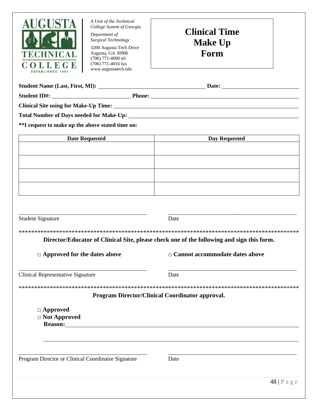

*Department of Surgical Technology*

3200 Augusta Tech Drive Augusta, GA 30906 (706) 771-4000 tel (706) 771-4016 fax www.augustatech.edu

## **Clinical Time Make Up Form**

| <b>Student Name (Last, First, MI):</b> |               | <b>Date:</b> |  |
|----------------------------------------|---------------|--------------|--|
| <b>Student ID#:</b>                    | <b>Phone:</b> |              |  |

**Clinical Site using for Make-Up Time:** 

**Total Number of Days needed for Make-Up:** 

**\*\*I request to make up the above stated time on:** 

| <b>Date Requested</b> | <b>Day Requested</b> |
|-----------------------|----------------------|
|                       |                      |
|                       |                      |
|                       |                      |
|                       |                      |
|                       |                      |
|                       |                      |
|                       |                      |
|                       |                      |

\_\_\_\_\_\_\_\_\_\_\_\_\_\_\_\_\_\_\_\_\_\_\_\_\_\_\_\_\_\_\_\_\_\_\_\_\_\_\_\_\_\_\_\_\_ \_\_\_\_\_\_\_\_\_\_\_\_\_\_\_\_\_\_\_\_\_\_\_\_\_\_\_\_\_\_\_\_\_\_\_\_\_\_\_\_\_\_\_\_\_

| <b>Student Signature</b>                                 | Date                                                                                      |
|----------------------------------------------------------|-------------------------------------------------------------------------------------------|
|                                                          |                                                                                           |
|                                                          | Director/Educator of Clinical Site, please check one of the following and sign this form. |
| $\Box$ Approved for the dates above                      | $\Box$ Cannot accommodate dates above                                                     |
| Clinical Representative Signature                        | Date                                                                                      |
|                                                          |                                                                                           |
|                                                          | <b>Program Director/Clinical Coordinator approval.</b>                                    |
| $\Box$ Approved<br>$\Box$ Not Approved<br><b>Reason:</b> |                                                                                           |

Program Director or Clinical Coordinator Signature Date

\_\_\_\_\_\_\_\_\_\_\_\_\_\_\_\_\_\_\_\_\_\_\_\_\_\_\_\_\_\_\_\_\_\_\_\_\_\_\_\_\_\_\_\_\_ \_\_\_\_\_\_\_\_\_\_\_\_\_\_\_\_\_\_\_\_\_\_\_\_\_\_\_\_\_\_\_\_\_\_\_\_\_\_\_\_\_\_\_\_\_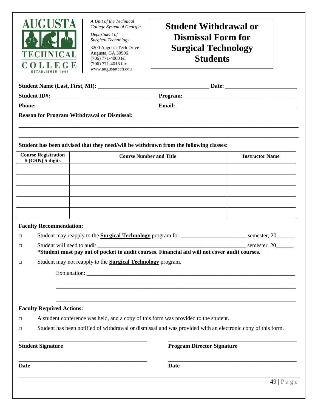

*Department of Surgical Technology*

3200 Augusta Tech Drive Augusta, GA 30906 (706) 771-4000 tel (706) 771-4016 fax www.augustatech.edu

### **Student Withdrawal or Dismissal Form for Surgical Technology Students**

| <b>Student Name (Last, First, MI):</b> | Date:         |
|----------------------------------------|---------------|
| <b>Student ID#:</b>                    | Program:      |
| <b>Phone:</b>                          | <b>Email:</b> |

**\_\_\_\_\_\_\_\_\_\_\_\_\_\_\_\_\_\_\_\_\_\_\_\_\_\_\_\_\_\_\_\_\_\_\_\_\_\_\_\_\_\_\_\_\_\_\_\_\_\_\_\_\_\_\_\_\_\_\_\_\_\_\_\_\_\_\_\_\_\_\_\_\_\_\_\_\_\_\_\_\_\_\_\_\_\_\_\_\_\_\_\_\_\_\_\_\_\_ \_\_\_\_\_\_\_\_\_\_\_\_\_\_\_\_\_\_\_\_\_\_\_\_\_\_\_\_\_\_\_\_\_\_\_\_\_\_\_\_\_\_\_\_\_\_\_\_\_\_\_\_\_\_\_\_\_\_\_\_\_\_\_\_\_\_\_\_\_\_\_\_\_\_\_\_\_\_\_\_\_\_\_\_\_\_\_\_\_\_\_\_\_\_\_\_\_\_**

**Reason for Program Withdrawal or Dismissal:**

#### **Student has been advised that they need/will be withdrawn from the following classes:**

| <b>Course Registration</b><br># (CRN) 5 digits | <b>Course Number and Title</b> | <b>Instructor Name</b> |
|------------------------------------------------|--------------------------------|------------------------|
|                                                |                                |                        |
|                                                |                                |                        |
|                                                |                                |                        |
|                                                |                                |                        |
|                                                |                                |                        |

#### **Faculty Recommendation:**

| □ |                                                                                                                             | semester, 20 . |
|---|-----------------------------------------------------------------------------------------------------------------------------|----------------|
| □ | Student will need to audit<br>*Student must pay out of pocket to audit courses. Financial aid will not cover audit courses. | semester, 20 . |
|   | Student may not reapply to the <b>Surgical Technology</b> program.                                                          |                |
|   |                                                                                                                             |                |
|   |                                                                                                                             |                |
|   |                                                                                                                             |                |

#### **Faculty Required Actions:**

- **□** A student conference was held, and a copy of this form was provided to the student.
- **□** Student has been notified of withdrawal or dismissal and was provided with an electronic copy of this form.

\_\_\_\_\_\_\_\_\_\_\_\_\_\_\_\_\_\_\_\_\_\_\_\_\_\_\_\_\_\_\_\_\_\_\_\_\_\_\_\_\_\_\_\_\_ \_\_\_\_\_\_\_\_\_\_\_\_\_\_\_\_\_\_\_\_\_\_\_\_\_\_\_\_\_\_\_\_\_\_\_\_\_\_\_\_\_\_\_\_\_

\_\_\_\_\_\_\_\_\_\_\_\_\_\_\_\_\_\_\_\_\_\_\_\_\_\_\_\_\_\_\_\_\_\_\_\_\_\_\_\_\_\_\_\_\_ \_\_\_\_\_\_\_\_\_\_\_\_\_\_\_\_\_\_\_\_\_\_\_\_\_\_\_\_\_\_\_\_\_\_\_\_\_\_\_\_\_\_\_\_\_ **Student Signature Program Director Signature** 

**Date Date**

\_\_\_\_\_\_\_\_\_\_\_\_\_\_\_\_\_\_\_\_\_\_\_\_\_\_\_\_\_\_\_\_\_\_\_\_\_\_\_\_\_\_\_\_\_\_\_\_\_\_\_\_\_\_\_\_\_\_\_\_\_\_\_\_\_\_\_\_\_\_\_\_\_\_\_\_\_\_\_\_\_\_\_\_